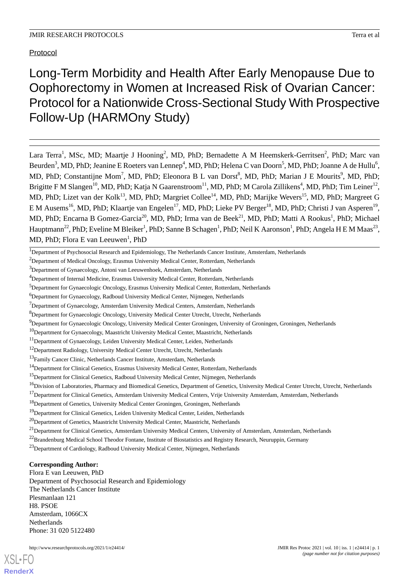Protocol

Long-Term Morbidity and Health After Early Menopause Due to Oophorectomy in Women at Increased Risk of Ovarian Cancer: Protocol for a Nationwide Cross-Sectional Study With Prospective Follow-Up (HARMOny Study)

Lara Terra<sup>1</sup>, MSc, MD; Maartje J Hooning<sup>2</sup>, MD, PhD; Bernadette A M Heemskerk-Gerritsen<sup>2</sup>, PhD; Marc van Beurden<sup>3</sup>, MD, PhD; Jeanine E Roeters van Lennep<sup>4</sup>, MD, PhD; Helena C van Doorn<sup>5</sup>, MD, PhD; Joanne A de Hullu<sup>6</sup>, MD, PhD; Constantijne Mom<sup>7</sup>, MD, PhD; Eleonora B L van Dorst<sup>8</sup>, MD, PhD; Marian J E Mourits<sup>9</sup>, MD, PhD; Brigitte F M Slangen<sup>10</sup>, MD, PhD; Katja N Gaarenstroom<sup>11</sup>, MD, PhD; M Carola Zillikens<sup>4</sup>, MD, PhD; Tim Leiner<sup>12</sup>, MD, PhD; Lizet van der Kolk<sup>13</sup>, MD, PhD; Margriet Collee<sup>14</sup>, MD, PhD; Marijke Wevers<sup>15</sup>, MD, PhD; Margreet G E M Ausems<sup>16</sup>, MD, PhD; Klaartje van Engelen<sup>17</sup>, MD, PhD; Lieke PV Berger<sup>18</sup>, MD, PhD; Christi J van Asperen<sup>19</sup>, MD, PhD; Encarna B Gomez-Garcia<sup>20</sup>, MD, PhD; Irma van de Beek<sup>21</sup>, MD, PhD; Matti A Rookus<sup>1</sup>, PhD; Michael Hauptmann<sup>22</sup>, PhD; Eveline M Bleiker<sup>1</sup>, PhD; Sanne B Schagen<sup>1</sup>, PhD; Neil K Aaronson<sup>1</sup>, PhD; Angela H E M Maas<sup>23</sup>, MD, PhD; Flora E van Leeuwen<sup>1</sup>, PhD

<sup>2</sup>Department of Medical Oncology, Erasmus University Medical Center, Rotterdam, Netherlands

<sup>5</sup>Department for Gynaecologic Oncology, Erasmus University Medical Center, Rotterdam, Netherlands

<sup>8</sup>Department for Gynaecologic Oncology, University Medical Center Utrecht, Utrecht, Netherlands

<sup>9</sup>Department for Gynaecologic Oncology, University Medical Center Groningen, University of Groningen, Groningen, Netherlands

<sup>23</sup>Department of Cardiology, Radboud University Medical Center, Nijmegen, Netherlands

# **Corresponding Author:**

Flora E van Leeuwen, PhD Department of Psychosocial Research and Epidemiology The Netherlands Cancer Institute Plesmanlaan 121 H8. PSOE Amsterdam, 1066CX Netherlands Phone: 31 020 5122480

<sup>&</sup>lt;sup>1</sup>Department of Psychosocial Research and Epidemiology, The Netherlands Cancer Institute, Amsterdam, Netherlands

<sup>3</sup>Department of Gynaecology, Antoni van Leeuwenhoek, Amsterdam, Netherlands

<sup>&</sup>lt;sup>4</sup>Department of Internal Medicine, Erasmus University Medical Center, Rotterdam, Netherlands

<sup>6</sup>Department for Gynaecology, Radboud University Medical Center, Nijmegen, Netherlands

 $7$ Department of Gynaecology, Amsterdam University Medical Centers, Amsterdam, Netherlands

 $10$ Department for Gynaecology, Maastricht University Medical Center, Maastricht, Netherlands

<sup>&</sup>lt;sup>11</sup>Department of Gynaecology, Leiden University Medical Center, Leiden, Netherlands

<sup>&</sup>lt;sup>12</sup>Department Radiology, University Medical Center Utrecht, Utrecht, Netherlands

<sup>&</sup>lt;sup>13</sup>Family Cancer Clinic, Netherlands Cancer Institute, Amsterdam, Netherlands

<sup>&</sup>lt;sup>14</sup>Department for Clinical Genetics, Erasmus University Medical Center, Rotterdam, Netherlands

<sup>&</sup>lt;sup>15</sup>Department for Clinical Genetics, Radboud University Medical Center, Nijmegen, Netherlands

<sup>&</sup>lt;sup>16</sup>Division of Laboratories, Pharmacy and Biomedical Genetics, Department of Genetics, University Medical Center Utrecht, Utrecht, Netherlands

<sup>&</sup>lt;sup>17</sup>Department for Clinical Genetics, Amsterdam University Medical Centers, Vrije University Amsterdam, Amsterdam, Netherlands

<sup>18</sup>Department of Genetics, University Medical Center Groningen, Groningen, Netherlands

<sup>&</sup>lt;sup>19</sup>Department for Clinical Genetics, Leiden University Medical Center, Leiden, Netherlands

<sup>&</sup>lt;sup>20</sup>Department of Genetics, Maastricht University Medical Center, Maastricht, Netherlands

<sup>&</sup>lt;sup>21</sup>Department for Clinical Genetics, Amsterdam University Medical Centers, University of Amsterdam, Amsterdam, Netherlands

<sup>&</sup>lt;sup>22</sup>Brandenburg Medical School Theodor Fontane, Institute of Biostatistics and Registry Research, Neuruppin, Germany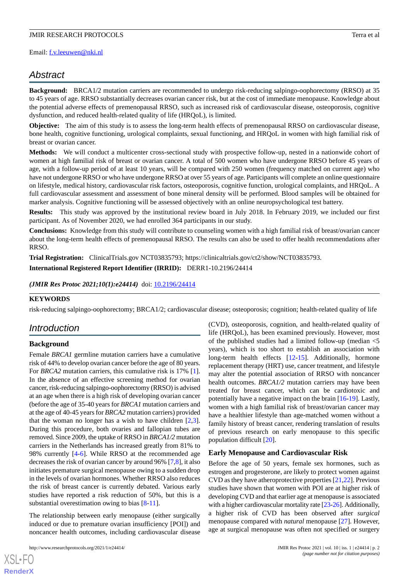Email: [f.v.leeuwen@nki.nl](mailto:f.v.leeuwen@nki.nl)

# *Abstract*

**Background:** BRCA1/2 mutation carriers are recommended to undergo risk-reducing salpingo-oophorectomy (RRSO) at 35 to 45 years of age. RRSO substantially decreases ovarian cancer risk, but at the cost of immediate menopause. Knowledge about the potential adverse effects of premenopausal RRSO, such as increased risk of cardiovascular disease, osteoporosis, cognitive dysfunction, and reduced health-related quality of life (HRQoL), is limited.

**Objective:** The aim of this study is to assess the long-term health effects of premenopausal RRSO on cardiovascular disease, bone health, cognitive functioning, urological complaints, sexual functioning, and HRQoL in women with high familial risk of breast or ovarian cancer.

**Methods:** We will conduct a multicenter cross-sectional study with prospective follow-up, nested in a nationwide cohort of women at high familial risk of breast or ovarian cancer. A total of 500 women who have undergone RRSO before 45 years of age, with a follow-up period of at least 10 years, will be compared with 250 women (frequency matched on current age) who have not undergone RRSO or who have undergone RRSO at over 55 years of age. Participants will complete an online questionnaire on lifestyle, medical history, cardiovascular risk factors, osteoporosis, cognitive function, urological complaints, and HRQoL. A full cardiovascular assessment and assessment of bone mineral density will be performed. Blood samples will be obtained for marker analysis. Cognitive functioning will be assessed objectively with an online neuropsychological test battery.

**Results:** This study was approved by the institutional review board in July 2018. In February 2019, we included our first participant. As of November 2020, we had enrolled 364 participants in our study.

**Conclusions:** Knowledge from this study will contribute to counseling women with a high familial risk of breast/ovarian cancer about the long-term health effects of premenopausal RRSO. The results can also be used to offer health recommendations after RRSO.

**Trial Registration:** ClinicalTrials.gov NCT03835793; https://clinicaltrials.gov/ct2/show/NCT03835793. **International Registered Report Identifier (IRRID):** DERR1-10.2196/24414

*(JMIR Res Protoc 2021;10(1):e24414)* doi: [10.2196/24414](http://dx.doi.org/10.2196/24414)

#### **KEYWORDS**

risk-reducing salpingo-oophorectomy; BRCA1/2; cardiovascular disease; osteoporosis; cognition; health-related quality of life

# *Introduction*

#### **Background**

Female *BRCA1* germline mutation carriers have a cumulative risk of 44% to develop ovarian cancer before the age of 80 years. For *BRCA2* mutation carriers, this cumulative risk is 17% [[1\]](#page-9-0). In the absence of an effective screening method for ovarian cancer, risk-reducing salpingo-oophorectomy (RRSO) is advised at an age when there is a high risk of developing ovarian cancer (before the age of 35-40 years for *BRCA1* mutation carriers and at the age of 40-45 years for *BRCA2* mutation carriers) provided that the woman no longer has a wish to have children  $[2,3]$  $[2,3]$  $[2,3]$ . During this procedure, both ovaries and fallopian tubes are removed. Since 2009, the uptake of RRSO in *BRCA1/2* mutation carriers in the Netherlands has increased greatly from 81% to 98% currently [\[4](#page-9-3)[-6\]](#page-9-4). While RRSO at the recommended age decreases the risk of ovarian cancer by around 96% [\[7](#page-9-5)[,8](#page-9-6)], it also initiates premature surgical menopause owing to a sudden drop in the levels of ovarian hormones. Whether RRSO also reduces the risk of breast cancer is currently debated. Various early studies have reported a risk reduction of 50%, but this is a substantial overestimation owing to bias  $[8-11]$  $[8-11]$  $[8-11]$  $[8-11]$ .

The relationship between early menopause (either surgically induced or due to premature ovarian insufficiency [POI]) and noncancer health outcomes, including cardiovascular disease

[XSL](http://www.w3.org/Style/XSL)•FO **[RenderX](http://www.renderx.com/)**

(CVD), osteoporosis, cognition, and health-related quality of life (HRQoL), has been examined previously. However, most of the published studies had a limited follow-up (median <5 years), which is too short to establish an association with long-term health effects [\[12](#page-9-8)-[15\]](#page-10-0). Additionally, hormone replacement therapy (HRT) use, cancer treatment, and lifestyle may alter the potential association of RRSO with noncancer health outcomes. *BRCA1/2* mutation carriers may have been treated for breast cancer, which can be cardiotoxic and potentially have a negative impact on the brain [\[16](#page-10-1)-[19\]](#page-10-2). Lastly, women with a high familial risk of breast/ovarian cancer may have a healthier lifestyle than age-matched women without a family history of breast cancer, rendering translation of results of previous research on early menopause to this specific population difficult [\[20](#page-10-3)].

#### **Early Menopause and Cardiovascular Risk**

Before the age of 50 years, female sex hormones, such as estrogen and progesterone, are likely to protect women against CVD as they have atheroprotective properties [[21](#page-10-4)[,22](#page-10-5)]. Previous studies have shown that women with POI are at higher risk of developing CVD and that earlier age at menopause is associated with a higher cardiovascular mortality rate [\[23](#page-10-6)[-26](#page-10-7)]. Additionally, a higher risk of CVD has been observed after *surgical* menopause compared with *natural* menopause [\[27](#page-10-8)]. However, age at surgical menopause was often not specified or surgery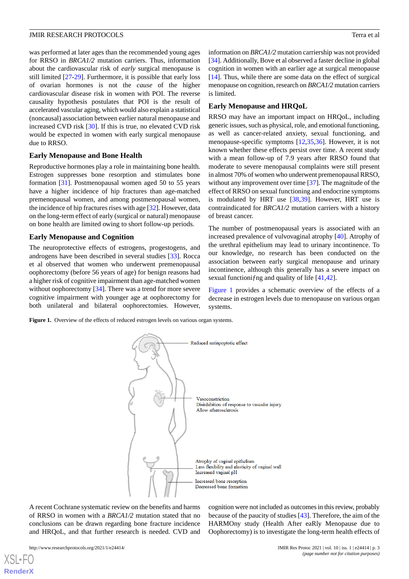was performed at later ages than the recommended young ages for RRSO in *BRCA1/2* mutation carriers. Thus, information about the cardiovascular risk of *early* surgical menopause is still limited [[27-](#page-10-8)[29](#page-10-9)]. Furthermore, it is possible that early loss of ovarian hormones is not the *cause* of the higher cardiovascular disease risk in women with POI. The reverse causality hypothesis postulates that POI is the result of accelerated vascular aging, which would also explain a statistical (noncausal) association between earlier natural menopause and increased CVD risk [\[30](#page-10-10)]. If this is true, no elevated CVD risk would be expected in women with early surgical menopause due to RRSO.

### **Early Menopause and Bone Health**

Reproductive hormones play a role in maintaining bone health. Estrogen suppresses bone resorption and stimulates bone formation [[31\]](#page-10-11). Postmenopausal women aged 50 to 55 years have a higher incidence of hip fractures than age-matched premenopausal women, and among postmenopausal women, the incidence of hip fractures rises with age [\[32](#page-10-12)]. However, data on the long-term effect of early (surgical or natural) menopause on bone health are limited owing to short follow-up periods.

### **Early Menopause and Cognition**

The neuroprotective effects of estrogens, progestogens, and androgens have been described in several studies [[33\]](#page-10-13). Rocca et al observed that women who underwent premenopausal oophorectomy (before 56 years of age) for benign reasons had a higher risk of cognitive impairment than age-matched women without oophorectomy [[34\]](#page-11-0). There was a trend for more severe cognitive impairment with younger age at oophorectomy for both unilateral and bilateral oophorectomies. However,

information on *BRCA1/2* mutation carriership was not provided [[34\]](#page-11-0). Additionally, Bove et al observed a faster decline in global cognition in women with an earlier age at surgical menopause [[14\]](#page-10-14). Thus, while there are some data on the effect of surgical menopause on cognition, research on *BRCA1/2* mutation carriers is limited.

### **Early Menopause and HRQoL**

RRSO may have an important impact on HRQoL, including generic issues, such as physical, role, and emotional functioning, as well as cancer-related anxiety, sexual functioning, and menopause-specific symptoms [\[12](#page-9-8),[35,](#page-11-1)[36\]](#page-11-2). However, it is not known whether these effects persist over time. A recent study with a mean follow-up of 7.9 years after RRSO found that moderate to severe menopausal complaints were still present in almost 70% of women who underwent premenopausal RRSO, without any improvement over time [\[37](#page-11-3)]. The magnitude of the effect of RRSO on sexual functioning and endocrine symptoms is modulated by HRT use [\[38](#page-11-4),[39\]](#page-11-5). However, HRT use is contraindicated for *BRCA1/2* mutation carriers with a history of breast cancer.

The number of postmenopausal years is associated with an increased prevalence of vulvovaginal atrophy [\[40](#page-11-6)]. Atrophy of the urethral epithelium may lead to urinary incontinence. To our knowledge, no research has been conducted on the association between early surgical menopause and urinary incontinence, although this generally has a severe impact on sexual functionifing and quality of life [\[41](#page-11-7),[42\]](#page-11-8).

[Figure 1](#page-2-0) provides a schematic overview of the effects of a decrease in estrogen levels due to menopause on various organ systems.

<span id="page-2-0"></span>Figure 1. Overview of the effects of reduced estrogen levels on various organ systems.



A recent Cochrane systematic review on the benefits and harms of RRSO in women with a *BRCA1/2* mutation stated that no conclusions can be drawn regarding bone fracture incidence and HRQoL, and that further research is needed. CVD and

[XSL](http://www.w3.org/Style/XSL)•FO **[RenderX](http://www.renderx.com/)**

cognition were not included as outcomes in this review, probably because of the paucity of studies [\[43](#page-11-9)]. Therefore, the aim of the HARMOny study (Health After eaRly Menopause due to Oophorectomy) is to investigate the long-term health effects of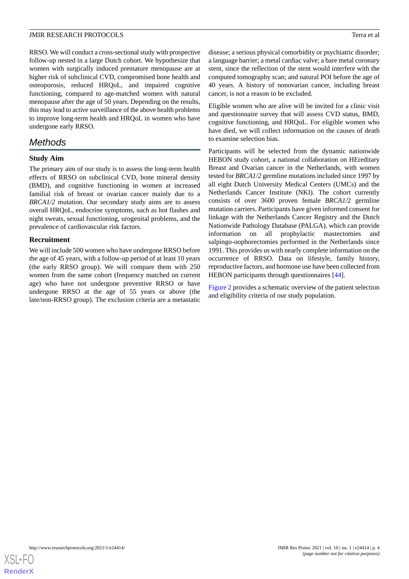RRSO. We will conduct a cross-sectional study with prospective follow-up nested in a large Dutch cohort. We hypothesize that women with surgically induced premature menopause are at higher risk of subclinical CVD, compromised bone health and osteoporosis, reduced HRQoL, and impaired cognitive functioning, compared to age-matched women with natural menopause after the age of 50 years. Depending on the results, this may lead to active surveillance of the above health problems to improve long-term health and HRQoL in women who have undergone early RRSO.

# *Methods*

# **Study Aim**

The primary aim of our study is to assess the long-term health effects of RRSO on subclinical CVD, bone mineral density (BMD), and cognitive functioning in women at increased familial risk of breast or ovarian cancer mainly due to a *BRCA1/2* mutation. Our secondary study aims are to assess overall HRQoL, endocrine symptoms, such as hot flashes and night sweats, sexual functioning, urogenital problems, and the prevalence of cardiovascular risk factors.

# **Recruitment**

We will include 500 women who have undergone RRSO before the age of 45 years, with a follow-up period of at least 10 years (the early RRSO group). We will compare them with 250 women from the same cohort (frequency matched on current age) who have not undergone preventive RRSO or have undergone RRSO at the age of 55 years or above (the late/non-RRSO group). The exclusion criteria are a metastatic

disease; a serious physical comorbidity or psychiatric disorder; a language barrier; a metal cardiac valve; a bare metal coronary stent, since the reflection of the stent would interfere with the computed tomography scan; and natural POI before the age of 40 years. A history of nonovarian cancer, including breast cancer, is not a reason to be excluded.

Eligible women who are alive will be invited for a clinic visit and questionnaire survey that will assess CVD status, BMD, cognitive functioning, and HRQoL. For eligible women who have died, we will collect information on the causes of death to examine selection bias.

Participants will be selected from the dynamic nationwide HEBON study cohort, a national collaboration on HEreditary Breast and Ovarian cancer in the Netherlands, with women tested for *BRCA1/2* germline mutations included since 1997 by all eight Dutch University Medical Centers (UMCs) and the Netherlands Cancer Institute (NKI). The cohort currently consists of over 3600 proven female *BRCA1/*2 germline mutation carriers. Participants have given informed consent for linkage with the Netherlands Cancer Registry and the Dutch Nationwide Pathology Database (PALGA), which can provide information on all prophylactic mastectomies and salpingo-oophorectomies performed in the Netherlands since 1991. This provides us with nearly complete information on the occurrence of RRSO. Data on lifestyle, family history, reproductive factors, and hormone use have been collected from HEBON participants through questionnaires [[44\]](#page-11-10).

[Figure 2](#page-4-0) provides a schematic overview of the patient selection and eligibility criteria of our study population.

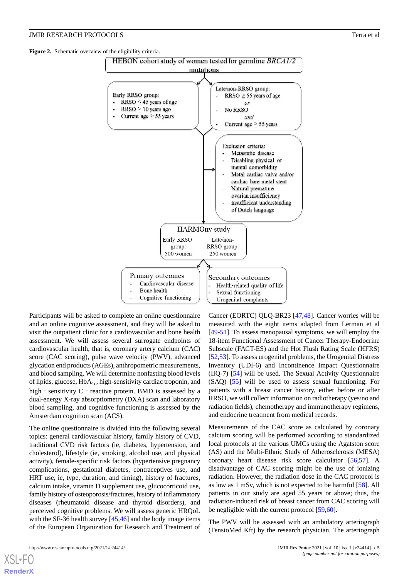<span id="page-4-0"></span>**Figure 2.** Schematic overview of the eligibility criteria.



Participants will be asked to complete an online questionnaire and an online cognitive assessment, and they will be asked to visit the outpatient clinic for a cardiovascular and bone health assessment. We will assess several surrogate endpoints of cardiovascular health, that is, coronary artery calcium (CAC) score (CAC scoring), pulse wave velocity (PWV), advanced glycation end products (AGEs), anthropometric measurements, and blood sampling. We will determine nonfasting blood levels of lipids, glucose,  $HbA_{1c}$ , high-sensitivity cardiac troponin, and high  $\overline{\phantom{a}}$  sensitivity C  $\overline{\phantom{a}}$  reactive protein. BMD is assessed by a dual-energy X-ray absorptiometry (DXA) scan and laboratory blood sampling, and cognitive functioning is assessed by the Amsterdam cognition scan (ACS).

The online questionnaire is divided into the following several topics: general cardiovascular history, family history of CVD, traditional CVD risk factors (ie, diabetes, hypertension, and cholesterol), lifestyle (ie, smoking, alcohol use, and physical activity), female-specific risk factors (hypertensive pregnancy complications, gestational diabetes, contraceptives use, and HRT use, ie, type, duration, and timing), history of fractures, calcium intake, vitamin D supplement use, glucocorticoid use, family history of osteoporosis/fractures, history of inflammatory diseases (rheumatoid disease and thyroid disorders), and perceived cognitive problems. We will assess generic HRQoL with the SF-36 health survey [\[45](#page-11-11),[46\]](#page-11-12) and the body image items of the European Organization for Research and Treatment of Cancer (EORTC) QLQ-BR23 [[47](#page-11-13)[,48](#page-11-14)]. Cancer worries will be measured with the eight items adapted from Lerman et al [[49](#page-11-15)[-51](#page-11-16)]. To assess menopausal symptoms, we will employ the 18-item Functional Assessment of Cancer Therapy-Endocrine Subscale (FACT-ES) and the Hot Flush Rating Scale (HFRS) [[52,](#page-11-17)[53\]](#page-11-18). To assess urogenital problems, the Urogenital Distress Inventory (UDI-6) and Incontinence Impact Questionnaire (IIQ-7) [\[54](#page-11-19)] will be used. The Sexual Activity Questionnaire (SAQ) [[55\]](#page-12-0) will be used to assess sexual functioning. For patients with a breast cancer history, either before or after RRSO, we will collect information on radiotherapy (yes/no and radiation fields), chemotherapy and immunotherapy regimens, and endocrine treatment from medical records.

Measurements of the CAC score as calculated by coronary calcium scoring will be performed according to standardized local protocols at the various UMCs using the Agatston score (AS) and the Multi-Ethnic Study of Atherosclerosis (MESA) coronary heart disease risk score calculator [\[56](#page-12-1)[,57](#page-12-2)]. A disadvantage of CAC scoring might be the use of ionizing radiation. However, the radiation dose in the CAC protocol is as low as 1 mSv, which is not expected to be harmful [[58\]](#page-12-3). All patients in our study are aged 55 years or above; thus, the radiation-induced risk of breast cancer from CAC scoring will be negligible with the current protocol [[59](#page-12-4)[,60](#page-12-5)].

The PWV will be assessed with an ambulatory arteriograph (TensioMed Kft) by the research physician. The arteriograph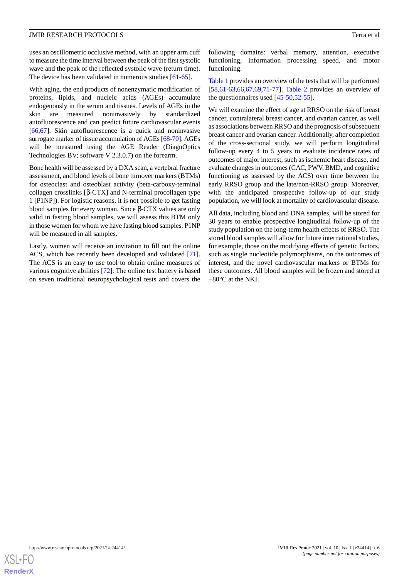uses an oscillometric occlusive method, with an upper arm cuff to measure the time interval between the peak of the first systolic wave and the peak of the reflected systolic wave (return time). The device has been validated in numerous studies [[61](#page-12-6)[-65](#page-12-7)].

With aging, the end products of nonenzymatic modification of proteins, lipids, and nucleic acids (AGEs) accumulate endogenously in the serum and tissues. Levels of AGEs in the skin are measured noninvasively by standardized autofluorescence and can predict future cardiovascular events [[66](#page-12-8)[,67](#page-12-9)]. Skin autofluorescence is a quick and noninvasive surrogate marker of tissue accumulation of AGEs [[68](#page-12-10)-[70](#page-12-11)]. AGEs will be measured using the AGE Reader (DiagnOptics Technologies BV; software V 2.3.0.7) on the forearm.

Bone health will be assessed by a DXA scan, a vertebral fracture assessment, and blood levels of bone turnover markers (BTMs) for osteoclast and osteoblast activity (beta-carboxy-terminal collagen crosslinks [β-CTX] and N-terminal procollagen type 1 [P1NP]). For logistic reasons, it is not possible to get fasting blood samples for every woman. Since β-CTX values are only valid in fasting blood samples, we will assess this BTM only in those women for whom we have fasting blood samples. P1NP will be measured in all samples.

Lastly, women will receive an invitation to fill out the online ACS, which has recently been developed and validated [[71\]](#page-12-12). The ACS is an easy to use tool to obtain online measures of various cognitive abilities [\[72](#page-12-13)]. The online test battery is based on seven traditional neuropsychological tests and covers the

following domains: verbal memory, attention, executive functioning, information processing speed, and motor functioning.

[Table 1](#page-6-0) provides an overview of the tests that will be performed [[58,](#page-12-3)[61-](#page-12-6)[63](#page-12-14)[,66](#page-12-8),[67](#page-12-9)[,69](#page-12-15),[71-](#page-12-12)[77](#page-13-0)]. [Table 2](#page-7-0) provides an overview of the questionnaires used [[45-](#page-11-11)[50](#page-11-20),[52-](#page-11-17)[55\]](#page-12-0).

We will examine the effect of age at RRSO on the risk of breast cancer, contralateral breast cancer, and ovarian cancer, as well as associations between RRSO and the prognosis of subsequent breast cancer and ovarian cancer. Additionally, after completion of the cross-sectional study, we will perform longitudinal follow-up every 4 to 5 years to evaluate incidence rates of outcomes of major interest, such as ischemic heart disease, and evaluate changes in outcomes (CAC, PWV, BMD, and cognitive functioning as assessed by the ACS) over time between the early RRSO group and the late/non-RRSO group. Moreover, with the anticipated prospective follow-up of our study population, we will look at mortality of cardiovascular disease.

All data, including blood and DNA samples, will be stored for 30 years to enable prospective longitudinal follow-up of the study population on the long-term health effects of RRSO. The stored blood samples will allow for future international studies, for example, those on the modifying effects of genetic factors, such as single nucleotide polymorphisms, on the outcomes of interest, and the novel cardiovascular markers or BTMs for these outcomes. All blood samples will be frozen and stored at −80°C at the NKI.

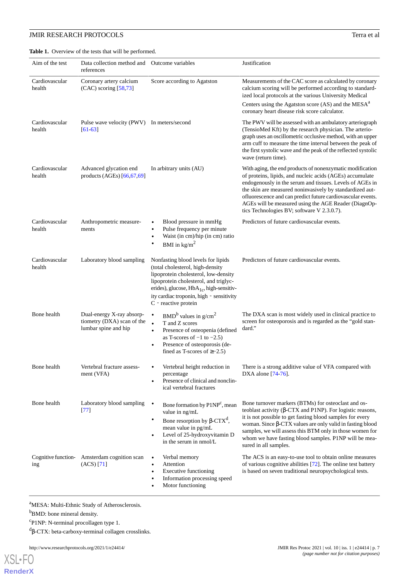<span id="page-6-0"></span>Table 1. Overview of the tests that will be performed.

| Aim of the test          | Data collection method and<br>references                                        | Outcome variables                                                                                                                                                                                                                                                            | Justification                                                                                                                                                                                                                                                                                                                                                                                                      |
|--------------------------|---------------------------------------------------------------------------------|------------------------------------------------------------------------------------------------------------------------------------------------------------------------------------------------------------------------------------------------------------------------------|--------------------------------------------------------------------------------------------------------------------------------------------------------------------------------------------------------------------------------------------------------------------------------------------------------------------------------------------------------------------------------------------------------------------|
| Cardiovascular<br>health | Coronary artery calcium<br>$(CAC)$ scoring $[58,73]$                            | Score according to Agatston                                                                                                                                                                                                                                                  | Measurements of the CAC score as calculated by coronary<br>calcium scoring will be performed according to standard-<br>ized local protocols at the various University Medical                                                                                                                                                                                                                                      |
|                          |                                                                                 |                                                                                                                                                                                                                                                                              | Centers using the Agatston score (AS) and the MESA <sup>a</sup><br>coronary heart disease risk score calculator.                                                                                                                                                                                                                                                                                                   |
| Cardiovascular<br>health | Pulse wave velocity (PWV) In meters/second<br>$[61-63]$                         |                                                                                                                                                                                                                                                                              | The PWV will be assessed with an ambulatory arteriograph<br>(TensioMed Kft) by the research physician. The arterio-<br>graph uses an oscillometric occlusive method, with an upper<br>arm cuff to measure the time interval between the peak of<br>the first systolic wave and the peak of the reflected systolic<br>wave (return time).                                                                           |
| Cardiovascular<br>health | Advanced glycation end<br>products (AGEs) [66,67,69]                            | In arbitrary units (AU)                                                                                                                                                                                                                                                      | With aging, the end products of nonenzymatic modification<br>of proteins, lipids, and nucleic acids (AGEs) accumulate<br>endogenously in the serum and tissues. Levels of AGEs in<br>the skin are measured noninvasively by standardized aut-<br>ofluorescence and can predict future cardiovascular events.<br>AGEs will be measured using the AGE Reader (DiagnOp-<br>tics Technologies BV; software V 2.3.0.7). |
| Cardiovascular<br>health | Anthropometric measure-<br>ments                                                | Blood pressure in mmHg<br>Pulse frequency per minute<br>$\bullet$<br>Waist (in cm)/hip (in cm) ratio<br>$\bullet$<br>BMI in $\text{kg/m}^2$<br>٠                                                                                                                             | Predictors of future cardiovascular events.                                                                                                                                                                                                                                                                                                                                                                        |
| Cardiovascular<br>health | Laboratory blood sampling                                                       | Nonfasting blood levels for lipids<br>(total cholesterol, high-density<br>lipoprotein cholesterol, low-density<br>lipoprotein cholesterol, and triglyc-<br>erides), glucose, $HbA_{1c}$ , high-sensitiv-<br>ity cardiac troponin, high - sensitivity<br>C - reactive protein | Predictors of future cardiovascular events.                                                                                                                                                                                                                                                                                                                                                                        |
| Bone health              | Dual-energy X-ray absorp-<br>tiometry (DXA) scan of the<br>lumbar spine and hip | $BMDb$ values in g/cm <sup>2</sup><br>$\bullet$<br>$\bullet$<br>T and Z scores<br>Presence of osteopenia (defined<br>$\bullet$<br>as T-scores of $-1$ to $-2.5$ )<br>Presence of osteoporosis (de-<br>$\bullet$<br>fined as T-scores of $\geq$ -2.5)                         | The DXA scan is most widely used in clinical practice to<br>screen for osteoporosis and is regarded as the "gold stan-<br>dard."                                                                                                                                                                                                                                                                                   |
| Bone health              | Vertebral fracture assess-<br>ment (VFA)                                        | Vertebral height reduction in<br>percentage<br>Presence of clinical and nonclin-<br>ical vertebral fractures                                                                                                                                                                 | There is a strong additive value of VFA compared with<br>DXA alone [74-76].                                                                                                                                                                                                                                                                                                                                        |
| Bone health              | Laboratory blood sampling<br>$[77]$                                             | $\bullet$<br>Bone formation by P1NP <sup>c</sup> , mean<br>value in ng/mL<br>Bone resorption by β-CTX <sup>d</sup> ,<br>٠<br>mean value in pg/mL<br>Level of 25-hydroxyvitamin D<br>in the serum in nmol/L                                                                   | Bone turnover markers (BTMs) for osteoclast and os-<br>teoblast activity ( $\beta$ -CTX and P1NP). For logistic reasons,<br>it is not possible to get fasting blood samples for every<br>woman. Since $\beta$ -CTX values are only valid in fasting blood<br>samples, we will assess this BTM only in those women for<br>whom we have fasting blood samples. P1NP will be mea-<br>sured in all samples.            |
| ing                      | Cognitive function-<br>Amsterdam cognition scan<br>(ACS) [71]                   | Verbal memory<br>$\bullet$<br>Attention<br>$\bullet$<br><b>Executive functioning</b><br>٠<br>Information processing speed<br>٠<br>Motor functioning                                                                                                                          | The ACS is an easy-to-use tool to obtain online measures<br>of various cognitive abilities [72]. The online test battery<br>is based on seven traditional neuropsychological tests.                                                                                                                                                                                                                                |

<sup>a</sup>MESA: Multi-Ethnic Study of Atherosclerosis.

<sup>b</sup>BMD: bone mineral density.

[XSL](http://www.w3.org/Style/XSL)•FO **[RenderX](http://www.renderx.com/)**

<sup>c</sup>P1NP: N-terminal procollagen type 1.

d β-CTX: beta-carboxy-terminal collagen crosslinks.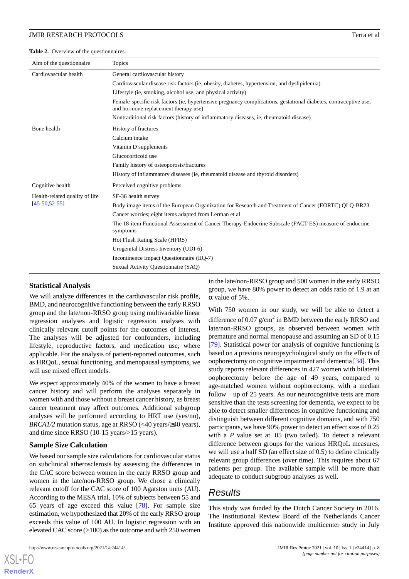<span id="page-7-0"></span>**Table 2.** Overview of the questionnaires.

| Aim of the questionnaire       | <b>Topics</b>                                                                                                                                            |  |  |
|--------------------------------|----------------------------------------------------------------------------------------------------------------------------------------------------------|--|--|
| Cardiovascular health          | General cardiovascular history                                                                                                                           |  |  |
|                                | Cardiovascular disease risk factors (ie, obesity, diabetes, hypertension, and dyslipidemia)                                                              |  |  |
|                                | Lifestyle (ie, smoking, alcohol use, and physical activity)                                                                                              |  |  |
|                                | Female-specific risk factors (ie, hypertensive pregnancy complications, gestational diabetes, contraceptive use,<br>and hormone replacement therapy use) |  |  |
|                                | Nontraditional risk factors (history of inflammatory diseases, ie, rheumatoid disease)                                                                   |  |  |
| Bone health                    | History of fractures                                                                                                                                     |  |  |
|                                | Calcium intake                                                                                                                                           |  |  |
|                                | Vitamin D supplements                                                                                                                                    |  |  |
|                                | Glucocorticoid use                                                                                                                                       |  |  |
|                                | Family history of osteoporosis/fractures                                                                                                                 |  |  |
|                                | History of inflammatory diseases (ie, rheumatoid disease and thyroid disorders)                                                                          |  |  |
| Cognitive health               | Perceived cognitive problems                                                                                                                             |  |  |
| Health-related quality of life | SF-36 health survey                                                                                                                                      |  |  |
| $[45 - 50, 52 - 55]$           | Body image items of the European Organization for Research and Treatment of Cancer (EORTC) OLO-BR23                                                      |  |  |
|                                | Cancer worries; eight items adapted from Lerman et al                                                                                                    |  |  |
|                                | The 18-item Functional Assessment of Cancer Therapy-Endocrine Subscale (FACT-ES) measure of endocrine<br>symptoms                                        |  |  |
|                                | Hot Flush Rating Scale (HFRS)                                                                                                                            |  |  |
|                                | Urogenital Distress Inventory (UDI-6)                                                                                                                    |  |  |
|                                | Incontinence Impact Questionnaire (IIQ-7)                                                                                                                |  |  |
|                                | Sexual Activity Questionnaire (SAQ)                                                                                                                      |  |  |

# **Statistical Analysis**

We will analyze differences in the cardiovascular risk profile, BMD, and neurocognitive functioning between the early RRSO group and the late/non-RRSO group using multivariable linear regression analyses and logistic regression analyses with clinically relevant cutoff points for the outcomes of interest. The analyses will be adjusted for confounders, including lifestyle, reproductive factors, and medication use, where applicable. For the analysis of patient-reported outcomes, such as HRQoL, sexual functioning, and menopausal symptoms, we will use mixed effect models.

We expect approximately 40% of the women to have a breast cancer history and will perform the analyses separately in women with and those without a breast cancer history, as breast cancer treatment may affect outcomes. Additional subgroup analyses will be performed according to HRT use (yes/no), *BRCA1/2* mutation status, age at RRSO (<40 years)≥40 years), and time since RRSO (10-15 years/>15 years).

## **Sample Size Calculation**

We based our sample size calculations for cardiovascular status on subclinical atherosclerosis by assessing the differences in the CAC score between women in the early RRSO group and women in the late/non-RRSO group. We chose a clinically relevant cutoff for the CAC score of 100 Agatston units (AU). According to the MESA trial, 10% of subjects between 55 and 65 years of age exceed this value [[78\]](#page-13-3). For sample size estimation, we hypothesized that 20% of the early RRSO group exceeds this value of 100 AU. In logistic regression with an elevated CAC score (>100) as the outcome and with 250 women

[XSL](http://www.w3.org/Style/XSL)•FO **[RenderX](http://www.renderx.com/)**

in the late/non-RRSO group and 500 women in the early RRSO group, we have 80% power to detect an odds ratio of 1.9 at an α value of 5%.

With 750 women in our study, we will be able to detect a difference of 0.07  $g/cm^2$  in BMD between the early RRSO and late/non-RRSO groups, as observed between women with premature and normal menopause and assuming an SD of 0.15 [[79\]](#page-13-4). Statistical power for analysis of cognitive functioning is based on a previous neuropsychological study on the effects of oophorectomy on cognitive impairment and dementia [[34\]](#page-11-0). This study reports relevant differences in 427 women with bilateral oophorectomy before the age of 49 years, compared to age-matched women without oophorectomy, with a median follow - up of 25 years. As our neurocognitive tests are more sensitive than the tests screening for dementia, we expect to be able to detect smaller differences in cognitive functioning and distinguish between different cognitive domains, and with 750 participants, we have 90% power to detect an effect size of 0.25 with a *P* value set at .05 (two tailed). To detect a relevant difference between groups for the various HRQoL measures, we will use a half SD (an effect size of 0.5) to define clinically relevant group differences (over time). This requires about 67 patients per group. The available sample will be more than adequate to conduct subgroup analyses as well.

# *Results*

This study was funded by the Dutch Cancer Society in 2016. The Institutional Review Board of the Netherlands Cancer Institute approved this nationwide multicenter study in July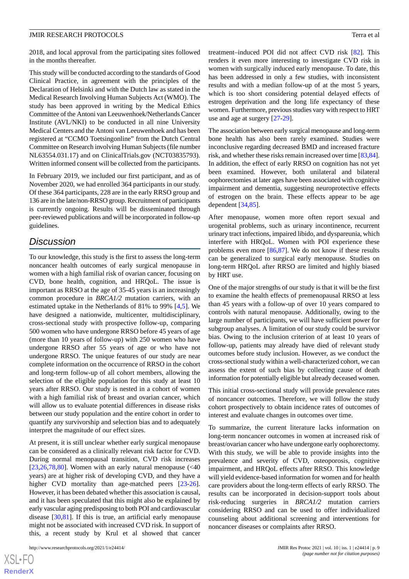2018, and local approval from the participating sites followed in the months thereafter.

This study will be conducted according to the standards of Good Clinical Practice, in agreement with the principles of the Declaration of Helsinki and with the Dutch law as stated in the Medical Research Involving Human Subjects Act (WMO). The study has been approved in writing by the Medical Ethics Committee of the Antoni van Leeuwenhoek/Netherlands Cancer Institute (AVL/NKI) to be conducted in all nine University Medical Centers and the Antoni van Leeuwenhoek and has been registered at "CCMO Toetsingonline" from the Dutch Central Committee on Research involving Human Subjects (file number NL63554.031.17) and on ClinicalTrials.gov (NCT03835793). Written informed consent will be collected from the participants.

In February 2019, we included our first participant, and as of November 2020, we had enrolled 364 participants in our study. Of these 364 participants, 228 are in the early RRSO group and 136 are in the late/non-RRSO group. Recruitment of participants is currently ongoing. Results will be disseminated through peer-reviewed publications and will be incorporated in follow-up guidelines.

# *Discussion*

To our knowledge, this study is the first to assess the long-term noncancer health outcomes of early surgical menopause in women with a high familial risk of ovarian cancer, focusing on CVD, bone health, cognition, and HRQoL. The issue is important as RRSO at the age of 35-45 years is an increasingly common procedure in *BRCA1/2* mutation carriers, with an estimated uptake in the Netherlands of 81% to 99% [\[4](#page-9-3),[5\]](#page-9-9). We have designed a nationwide, multicenter, multidisciplinary, cross-sectional study with prospective follow-up, comparing 500 women who have undergone RRSO before 45 years of age (more than 10 years of follow-up) with 250 women who have undergone RRSO after 55 years of age or who have not undergone RRSO. The unique features of our study are near complete information on the occurrence of RRSO in the cohort and long-term follow-up of all cohort members, allowing the selection of the eligible population for this study at least 10 years after RRSO. Our study is nested in a cohort of women with a high familial risk of breast and ovarian cancer, which will allow us to evaluate potential differences in disease risks between our study population and the entire cohort in order to quantify any survivorship and selection bias and to adequately interpret the magnitude of our effect sizes.

At present, it is still unclear whether early surgical menopause can be considered as a clinically relevant risk factor for CVD. During normal menopausal transition, CVD risk increases  $[23,26,78,80]$  $[23,26,78,80]$  $[23,26,78,80]$  $[23,26,78,80]$  $[23,26,78,80]$  $[23,26,78,80]$  $[23,26,78,80]$ . Women with an early natural menopause (<40 years) are at higher risk of developing CVD, and they have a higher CVD mortality than age-matched peers [\[23](#page-10-6)-[26\]](#page-10-7). However, it has been debated whether this association is causal, and it has been speculated that this might also be explained by early vascular aging predisposing to both POI and cardiovascular disease [[30,](#page-10-10)[81](#page-13-6)]. If this is true, an artificial early menopause might not be associated with increased CVD risk. In support of this, a recent study by Krul et al showed that cancer

treatment–induced POI did not affect CVD risk [\[82](#page-13-7)]. This renders it even more interesting to investigate CVD risk in women with surgically induced early menopause. To date, this has been addressed in only a few studies, with inconsistent results and with a median follow-up of at the most 5 years, which is too short considering potential delayed effects of estrogen deprivation and the long life expectancy of these women. Furthermore, previous studies vary with respect to HRT use and age at surgery [\[27](#page-10-8)-[29\]](#page-10-9).

The association between early surgical menopause and long-term bone health has also been rarely examined. Studies were inconclusive regarding decreased BMD and increased fracture risk, and whether these risks remain increased over time [\[83](#page-13-8)[,84](#page-13-9)]. In addition, the effect of early RRSO on cognition has not yet been examined. However, both unilateral and bilateral oophorectomies at later ages have been associated with cognitive impairment and dementia, suggesting neuroprotective effects of estrogen on the brain. These effects appear to be age dependent [[34,](#page-11-0)[85](#page-13-10)].

After menopause, women more often report sexual and urogenital problems, such as urinary incontinence, recurrent urinary tract infections, impaired libido, and dyspareunia, which interfere with HRQoL. Women with POI experience these problems even more  $[86,87]$  $[86,87]$  $[86,87]$ . We do not know if these results can be generalized to surgical early menopause. Studies on long-term HRQoL after RRSO are limited and highly biased by HRT use.

One of the major strengths of our study is that it will be the first to examine the health effects of premenopausal RRSO at less than 45 years with a follow-up of over 10 years compared to controls with natural menopause. Additionally, owing to the large number of participants, we will have sufficient power for subgroup analyses. A limitation of our study could be survivor bias. Owing to the inclusion criterion of at least 10 years of follow-up, patients may already have died of relevant study outcomes before study inclusion. However, as we conduct the cross-sectional study within a well-characterized cohort, we can assess the extent of such bias by collecting cause of death information for potentially eligible but already deceased women.

This initial cross-sectional study will provide prevalence rates of noncancer outcomes. Therefore, we will follow the study cohort prospectively to obtain incidence rates of outcomes of interest and evaluate changes in outcomes over time.

To summarize, the current literature lacks information on long-term noncancer outcomes in women at increased risk of breast/ovarian cancer who have undergone early oophorectomy. With this study, we will be able to provide insights into the prevalence and severity of CVD, osteoporosis, cognitive impairment, and HRQoL effects after RRSO. This knowledge will yield evidence-based information for women and for health care providers about the long-term effects of early RRSO. The results can be incorporated in decision-support tools about risk-reducing surgeries in *BRCA1/2* mutation carriers considering RRSO and can be used to offer individualized counseling about additional screening and interventions for noncancer diseases or complaints after RRSO.

 $XS$ -FO **[RenderX](http://www.renderx.com/)**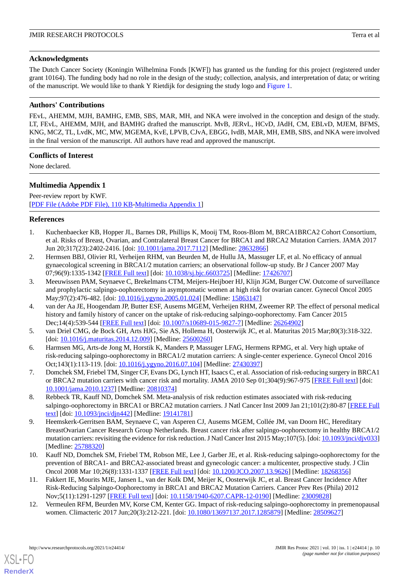# **Acknowledgments**

The Dutch Cancer Society (Koningin Wilhelmina Fonds [KWF]) has granted us the funding for this project (registered under grant 10164). The funding body had no role in the design of the study; collection, analysis, and interpretation of data; or writing of the manuscript. We would like to thank Y Rietdijk for designing the study logo and [Figure 1.](#page-2-0)

# **Authors' Contributions**

FEvL, AHEMM, MJH, BAMHG, EMB, SBS, MAR, MH, and NKA were involved in the conception and design of the study. LT, FEvL, AHEMM, MJH, and BAMHG drafted the manuscript. MvB, JERvL, HCvD, JAdH, CM, EBLvD, MJEM, BFMS, KNG, MCZ, TL, LvdK, MC, MW, MGEMA, KvE, LPVB, CJvA, EBGG, IvdB, MAR, MH, EMB, SBS, and NKA were involved in the final version of the manuscript. All authors have read and approved the manuscript.

# **Conflicts of Interest**

None declared.

# **Multimedia Appendix 1**

Peer-review report by KWF. [[PDF File \(Adobe PDF File\), 110 KB](https://jmir.org/api/download?alt_name=resprot_v10i1e24414_fig0.pdf&filename=6925aeabe524a633456e6dcf3192e89d.pdf)-[Multimedia Appendix 1\]](https://jmir.org/api/download?alt_name=resprot_v10i1e24414_fig0.pdf&filename=6925aeabe524a633456e6dcf3192e89d.pdf)

# <span id="page-9-0"></span>**References**

- <span id="page-9-1"></span>1. Kuchenbaecker KB, Hopper JL, Barnes DR, Phillips K, Mooij TM, Roos-Blom M, BRCA1BRCA2 Cohort Consortium, et al. Risks of Breast, Ovarian, and Contralateral Breast Cancer for BRCA1 and BRCA2 Mutation Carriers. JAMA 2017 Jun 20;317(23):2402-2416. [doi: [10.1001/jama.2017.7112\]](http://dx.doi.org/10.1001/jama.2017.7112) [Medline: [28632866](http://www.ncbi.nlm.nih.gov/entrez/query.fcgi?cmd=Retrieve&db=PubMed&list_uids=28632866&dopt=Abstract)]
- <span id="page-9-2"></span>2. Hermsen BBJ, Olivier RI, Verheijen RHM, van Beurden M, de Hullu JA, Massuger LF, et al. No efficacy of annual gynaecological screening in BRCA1/2 mutation carriers; an observational follow-up study. Br J Cancer 2007 May 07;96(9):1335-1342 [[FREE Full text](http://europepmc.org/abstract/MED/17426707)] [doi: [10.1038/sj.bjc.6603725\]](http://dx.doi.org/10.1038/sj.bjc.6603725) [Medline: [17426707](http://www.ncbi.nlm.nih.gov/entrez/query.fcgi?cmd=Retrieve&db=PubMed&list_uids=17426707&dopt=Abstract)]
- <span id="page-9-3"></span>3. Meeuwissen PAM, Seynaeve C, Brekelmans CTM, Meijers-Heijboer HJ, Klijn JGM, Burger CW. Outcome of surveillance and prophylactic salpingo-oophorectomy in asymptomatic women at high risk for ovarian cancer. Gynecol Oncol 2005 May;97(2):476-482. [doi: [10.1016/j.ygyno.2005.01.024\]](http://dx.doi.org/10.1016/j.ygyno.2005.01.024) [Medline: [15863147\]](http://www.ncbi.nlm.nih.gov/entrez/query.fcgi?cmd=Retrieve&db=PubMed&list_uids=15863147&dopt=Abstract)
- <span id="page-9-9"></span><span id="page-9-4"></span>4. van der Aa JE, Hoogendam JP, Butter ESF, Ausems MGEM, Verheijen RHM, Zweemer RP. The effect of personal medical history and family history of cancer on the uptake of risk-reducing salpingo-oophorectomy. Fam Cancer 2015 Dec;14(4):539-544 [\[FREE Full text](http://europepmc.org/abstract/MED/26264902)] [doi: [10.1007/s10689-015-9827-7\]](http://dx.doi.org/10.1007/s10689-015-9827-7) [Medline: [26264902\]](http://www.ncbi.nlm.nih.gov/entrez/query.fcgi?cmd=Retrieve&db=PubMed&list_uids=26264902&dopt=Abstract)
- <span id="page-9-5"></span>5. van Driel CMG, de Bock GH, Arts HJG, Sie AS, Hollema H, Oosterwijk JC, et al. Maturitas 2015 Mar;80(3):318-322. [doi: [10.1016/j.maturitas.2014.12.009](http://dx.doi.org/10.1016/j.maturitas.2014.12.009)] [Medline: [25600260\]](http://www.ncbi.nlm.nih.gov/entrez/query.fcgi?cmd=Retrieve&db=PubMed&list_uids=25600260&dopt=Abstract)
- <span id="page-9-6"></span>6. Harmsen MG, Arts-de Jong M, Horstik K, Manders P, Massuger LFAG, Hermens RPMG, et al. Very high uptake of risk-reducing salpingo-oophorectomy in BRCA1/2 mutation carriers: A single-center experience. Gynecol Oncol 2016 Oct;143(1):113-119. [doi: [10.1016/j.ygyno.2016.07.104\]](http://dx.doi.org/10.1016/j.ygyno.2016.07.104) [Medline: [27430397\]](http://www.ncbi.nlm.nih.gov/entrez/query.fcgi?cmd=Retrieve&db=PubMed&list_uids=27430397&dopt=Abstract)
- 7. Domchek SM, Friebel TM, Singer CF, Evans DG, Lynch HT, Isaacs C, et al. Association of risk-reducing surgery in BRCA1 or BRCA2 mutation carriers with cancer risk and mortality. JAMA 2010 Sep 01;304(9):967-975 [[FREE Full text\]](http://europepmc.org/abstract/MED/20810374) [doi: [10.1001/jama.2010.1237](http://dx.doi.org/10.1001/jama.2010.1237)] [Medline: [20810374](http://www.ncbi.nlm.nih.gov/entrez/query.fcgi?cmd=Retrieve&db=PubMed&list_uids=20810374&dopt=Abstract)]
- 8. Rebbeck TR, Kauff ND, Domchek SM. Meta-analysis of risk reduction estimates associated with risk-reducing salpingo-oophorectomy in BRCA1 or BRCA2 mutation carriers. J Natl Cancer Inst 2009 Jan 21;101(2):80-87 [[FREE Full](http://europepmc.org/abstract/MED/19141781) [text](http://europepmc.org/abstract/MED/19141781)] [doi: [10.1093/jnci/djn442](http://dx.doi.org/10.1093/jnci/djn442)] [Medline: [19141781](http://www.ncbi.nlm.nih.gov/entrez/query.fcgi?cmd=Retrieve&db=PubMed&list_uids=19141781&dopt=Abstract)]
- <span id="page-9-7"></span>9. Heemskerk-Gerritsen BAM, Seynaeve C, van Asperen CJ, Ausems MGEM, Collée JM, van Doorn HC, Hereditary BreastOvarian Cancer Research Group Netherlands. Breast cancer risk after salpingo-oophorectomy in healthy BRCA1/2 mutation carriers: revisiting the evidence for risk reduction. J Natl Cancer Inst 2015 May;107(5). [doi: [10.1093/jnci/djv033](http://dx.doi.org/10.1093/jnci/djv033)] [Medline: [25788320](http://www.ncbi.nlm.nih.gov/entrez/query.fcgi?cmd=Retrieve&db=PubMed&list_uids=25788320&dopt=Abstract)]
- <span id="page-9-8"></span>10. Kauff ND, Domchek SM, Friebel TM, Robson ME, Lee J, Garber JE, et al. Risk-reducing salpingo-oophorectomy for the prevention of BRCA1- and BRCA2-associated breast and gynecologic cancer: a multicenter, prospective study. J Clin Oncol 2008 Mar 10;26(8):1331-1337 [[FREE Full text\]](http://europepmc.org/abstract/MED/18268356) [doi: [10.1200/JCO.2007.13.9626\]](http://dx.doi.org/10.1200/JCO.2007.13.9626) [Medline: [18268356\]](http://www.ncbi.nlm.nih.gov/entrez/query.fcgi?cmd=Retrieve&db=PubMed&list_uids=18268356&dopt=Abstract)
- 11. Fakkert IE, Mourits MJE, Jansen L, van der Kolk DM, Meijer K, Oosterwijk JC, et al. Breast Cancer Incidence After Risk-Reducing Salpingo-Oophorectomy in BRCA1 and BRCA2 Mutation Carriers. Cancer Prev Res (Phila) 2012 Nov;5(11):1291-1297 [[FREE Full text](http://cancerpreventionresearch.aacrjournals.org/cgi/pmidlookup?view=long&pmid=23009828)] [doi: [10.1158/1940-6207.CAPR-12-0190\]](http://dx.doi.org/10.1158/1940-6207.CAPR-12-0190) [Medline: [23009828](http://www.ncbi.nlm.nih.gov/entrez/query.fcgi?cmd=Retrieve&db=PubMed&list_uids=23009828&dopt=Abstract)]
- 12. Vermeulen RFM, Beurden MV, Korse CM, Kenter GG. Impact of risk-reducing salpingo-oophorectomy in premenopausal women. Climacteric 2017 Jun;20(3):212-221. [doi: [10.1080/13697137.2017.1285879\]](http://dx.doi.org/10.1080/13697137.2017.1285879) [Medline: [28509627](http://www.ncbi.nlm.nih.gov/entrez/query.fcgi?cmd=Retrieve&db=PubMed&list_uids=28509627&dopt=Abstract)]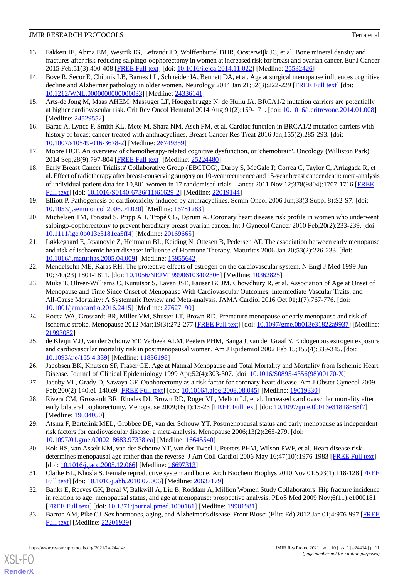- 13. Fakkert IE, Abma EM, Westrik IG, Lefrandt JD, Wolffenbuttel BHR, Oosterwijk JC, et al. Bone mineral density and fractures after risk-reducing salpingo-oophorectomy in women at increased risk for breast and ovarian cancer. Eur J Cancer 2015 Feb;51(3):400-408 [\[FREE Full text\]](https://linkinghub.elsevier.com/retrieve/pii/S0959-8049(14)01147-2) [doi: [10.1016/j.ejca.2014.11.022](http://dx.doi.org/10.1016/j.ejca.2014.11.022)] [Medline: [25532426\]](http://www.ncbi.nlm.nih.gov/entrez/query.fcgi?cmd=Retrieve&db=PubMed&list_uids=25532426&dopt=Abstract)
- <span id="page-10-14"></span>14. Bove R, Secor E, Chibnik LB, Barnes LL, Schneider JA, Bennett DA, et al. Age at surgical menopause influences cognitive decline and Alzheimer pathology in older women. Neurology 2014 Jan 21;82(3):222-229 [[FREE Full text](http://europepmc.org/abstract/MED/24336141)] [doi: [10.1212/WNL.0000000000000033](http://dx.doi.org/10.1212/WNL.0000000000000033)] [Medline: [24336141\]](http://www.ncbi.nlm.nih.gov/entrez/query.fcgi?cmd=Retrieve&db=PubMed&list_uids=24336141&dopt=Abstract)
- <span id="page-10-0"></span>15. Arts-de Jong M, Maas AHEM, Massuger LF, Hoogerbrugge N, de Hullu JA. BRCA1/2 mutation carriers are potentially at higher cardiovascular risk. Crit Rev Oncol Hematol 2014 Aug;91(2):159-171. [doi: [10.1016/j.critrevonc.2014.01.008\]](http://dx.doi.org/10.1016/j.critrevonc.2014.01.008) [Medline: [24529552](http://www.ncbi.nlm.nih.gov/entrez/query.fcgi?cmd=Retrieve&db=PubMed&list_uids=24529552&dopt=Abstract)]
- <span id="page-10-1"></span>16. Barac A, Lynce F, Smith KL, Mete M, Shara NM, Asch FM, et al. Cardiac function in BRCA1/2 mutation carriers with history of breast cancer treated with anthracyclines. Breast Cancer Res Treat 2016 Jan;155(2):285-293. [doi: [10.1007/s10549-016-3678-2\]](http://dx.doi.org/10.1007/s10549-016-3678-2) [Medline: [26749359](http://www.ncbi.nlm.nih.gov/entrez/query.fcgi?cmd=Retrieve&db=PubMed&list_uids=26749359&dopt=Abstract)]
- 17. Moore HCF. An overview of chemotherapy-related cognitive dysfunction, or 'chemobrain'. Oncology (Williston Park) 2014 Sep;28(9):797-804 [\[FREE Full text\]](http://www.cancernetwork.com/oncology-journal/overview-chemotherapy-related-cognitive-dysfunction-or-chemobrain) [Medline: [25224480\]](http://www.ncbi.nlm.nih.gov/entrez/query.fcgi?cmd=Retrieve&db=PubMed&list_uids=25224480&dopt=Abstract)
- <span id="page-10-2"></span>18. Early Breast Cancer Trialists' Collaborative Group (EBCTCG), Darby S, McGale P, Correa C, Taylor C, Arriagada R, et al. Effect of radiotherapy after breast-conserving surgery on 10-year recurrence and 15-year breast cancer death: meta-analysis of individual patient data for 10,801 women in 17 randomised trials. Lancet 2011 Nov 12;378(9804):1707-1716 [\[FREE](http://linkinghub.elsevier.com/retrieve/pii/S0140-6736(11)61629-2) [Full text\]](http://linkinghub.elsevier.com/retrieve/pii/S0140-6736(11)61629-2) [doi: [10.1016/S0140-6736\(11\)61629-2](http://dx.doi.org/10.1016/S0140-6736(11)61629-2)] [Medline: [22019144](http://www.ncbi.nlm.nih.gov/entrez/query.fcgi?cmd=Retrieve&db=PubMed&list_uids=22019144&dopt=Abstract)]
- <span id="page-10-3"></span>19. Elliott P. Pathogenesis of cardiotoxicity induced by anthracyclines. Semin Oncol 2006 Jun;33(3 Suppl 8):S2-S7. [doi: [10.1053/j.seminoncol.2006.04.020\]](http://dx.doi.org/10.1053/j.seminoncol.2006.04.020) [Medline: [16781283\]](http://www.ncbi.nlm.nih.gov/entrez/query.fcgi?cmd=Retrieve&db=PubMed&list_uids=16781283&dopt=Abstract)
- <span id="page-10-4"></span>20. Michelsen TM, Tonstad S, Pripp AH, Tropé CG, Dørum A. Coronary heart disease risk profile in women who underwent salpingo-oophorectomy to prevent hereditary breast ovarian cancer. Int J Gynecol Cancer 2010 Feb;20(2):233-239. [doi: [10.1111/igc.0b013e3181ca5ff4](http://dx.doi.org/10.1111/igc.0b013e3181ca5ff4)] [Medline: [20169665](http://www.ncbi.nlm.nih.gov/entrez/query.fcgi?cmd=Retrieve&db=PubMed&list_uids=20169665&dopt=Abstract)]
- <span id="page-10-5"></span>21. Løkkegaard E, Jovanovic Z, Heitmann BL, Keiding N, Ottesen B, Pedersen AT. The association between early menopause and risk of ischaemic heart disease: influence of Hormone Therapy. Maturitas 2006 Jan 20;53(2):226-233. [doi: [10.1016/j.maturitas.2005.04.009\]](http://dx.doi.org/10.1016/j.maturitas.2005.04.009) [Medline: [15955642\]](http://www.ncbi.nlm.nih.gov/entrez/query.fcgi?cmd=Retrieve&db=PubMed&list_uids=15955642&dopt=Abstract)
- <span id="page-10-6"></span>22. Mendelsohn ME, Karas RH. The protective effects of estrogen on the cardiovascular system. N Engl J Med 1999 Jun 10;340(23):1801-1811. [doi: [10.1056/NEJM199906103402306\]](http://dx.doi.org/10.1056/NEJM199906103402306) [Medline: [10362825\]](http://www.ncbi.nlm.nih.gov/entrez/query.fcgi?cmd=Retrieve&db=PubMed&list_uids=10362825&dopt=Abstract)
- 23. Muka T, Oliver-Williams C, Kunutsor S, Laven JSE, Fauser BCJM, Chowdhury R, et al. Association of Age at Onset of Menopause and Time Since Onset of Menopause With Cardiovascular Outcomes, Intermediate Vascular Traits, and All-Cause Mortality: A Systematic Review and Meta-analysis. JAMA Cardiol 2016 Oct 01;1(7):767-776. [doi: [10.1001/jamacardio.2016.2415](http://dx.doi.org/10.1001/jamacardio.2016.2415)] [Medline: [27627190](http://www.ncbi.nlm.nih.gov/entrez/query.fcgi?cmd=Retrieve&db=PubMed&list_uids=27627190&dopt=Abstract)]
- 24. Rocca WA, Grossardt BR, Miller VM, Shuster LT, Brown RD. Premature menopause or early menopause and risk of ischemic stroke. Menopause 2012 Mar;19(3):272-277 [\[FREE Full text](http://europepmc.org/abstract/MED/21993082)] [doi: [10.1097/gme.0b013e31822a9937\]](http://dx.doi.org/10.1097/gme.0b013e31822a9937) [Medline: [21993082](http://www.ncbi.nlm.nih.gov/entrez/query.fcgi?cmd=Retrieve&db=PubMed&list_uids=21993082&dopt=Abstract)]
- <span id="page-10-8"></span><span id="page-10-7"></span>25. de Kleijn MJJ, van der Schouw YT, Verbeek ALM, Peeters PHM, Banga J, van der Graaf Y. Endogenous estrogen exposure and cardiovascular mortality risk in postmenopausal women. Am J Epidemiol 2002 Feb 15;155(4):339-345. [doi: [10.1093/aje/155.4.339](http://dx.doi.org/10.1093/aje/155.4.339)] [Medline: [11836198](http://www.ncbi.nlm.nih.gov/entrez/query.fcgi?cmd=Retrieve&db=PubMed&list_uids=11836198&dopt=Abstract)]
- 26. Jacobsen BK, Knutsen SF, Fraser GE. Age at Natural Menopause and Total Mortality and Mortality from Ischemic Heart Disease. Journal of Clinical Epidemiology 1999 Apr;52(4):303-307. [doi: [10.1016/S0895-4356\(98\)00170-X](http://dx.doi.org/10.1016/S0895-4356(98)00170-X)]
- <span id="page-10-9"></span>27. Jacoby VL, Grady D, Sawaya GF. Oophorectomy as a risk factor for coronary heart disease. Am J Obstet Gynecol 2009 Feb;200(2):140.e1-140.e9 [[FREE Full text](http://europepmc.org/abstract/MED/19019330)] [doi: [10.1016/j.ajog.2008.08.045\]](http://dx.doi.org/10.1016/j.ajog.2008.08.045) [Medline: [19019330](http://www.ncbi.nlm.nih.gov/entrez/query.fcgi?cmd=Retrieve&db=PubMed&list_uids=19019330&dopt=Abstract)]
- <span id="page-10-10"></span>28. Rivera CM, Grossardt BR, Rhodes DJ, Brown RD, Roger VL, Melton LJ, et al. Increased cardiovascular mortality after early bilateral oophorectomy. Menopause 2009;16(1):15-23 [\[FREE Full text\]](http://europepmc.org/abstract/MED/19034050) [doi: [10.1097/gme.0b013e31818888f7\]](http://dx.doi.org/10.1097/gme.0b013e31818888f7) [Medline: [19034050](http://www.ncbi.nlm.nih.gov/entrez/query.fcgi?cmd=Retrieve&db=PubMed&list_uids=19034050&dopt=Abstract)]
- <span id="page-10-11"></span>29. Atsma F, Bartelink MEL, Grobbee DE, van der Schouw YT. Postmenopausal status and early menopause as independent risk factors for cardiovascular disease: a meta-analysis. Menopause 2006;13(2):265-279. [doi: [10.1097/01.gme.0000218683.97338.ea\]](http://dx.doi.org/10.1097/01.gme.0000218683.97338.ea) [Medline: [16645540\]](http://www.ncbi.nlm.nih.gov/entrez/query.fcgi?cmd=Retrieve&db=PubMed&list_uids=16645540&dopt=Abstract)
- <span id="page-10-12"></span>30. Kok HS, van Asselt KM, van der Schouw YT, van der Tweel I, Peeters PHM, Wilson PWF, et al. Heart disease risk determines menopausal age rather than the reverse. J Am Coll Cardiol 2006 May 16;47(10):1976-1983 [\[FREE Full text](https://linkinghub.elsevier.com/retrieve/pii/S0735-1097(06)00548-1)] [doi: [10.1016/j.jacc.2005.12.066](http://dx.doi.org/10.1016/j.jacc.2005.12.066)] [Medline: [16697313\]](http://www.ncbi.nlm.nih.gov/entrez/query.fcgi?cmd=Retrieve&db=PubMed&list_uids=16697313&dopt=Abstract)
- <span id="page-10-13"></span>31. Clarke BL, Khosla S. Female reproductive system and bone. Arch Biochem Biophys 2010 Nov 01;503(1):118-128 [\[FREE](http://europepmc.org/abstract/MED/20637179) [Full text\]](http://europepmc.org/abstract/MED/20637179) [doi: [10.1016/j.abb.2010.07.006](http://dx.doi.org/10.1016/j.abb.2010.07.006)] [Medline: [20637179](http://www.ncbi.nlm.nih.gov/entrez/query.fcgi?cmd=Retrieve&db=PubMed&list_uids=20637179&dopt=Abstract)]
- 32. Banks E, Reeves GK, Beral V, Balkwill A, Liu B, Roddam A, Million Women Study Collaborators. Hip fracture incidence in relation to age, menopausal status, and age at menopause: prospective analysis. PLoS Med 2009 Nov;6(11):e1000181 [[FREE Full text](https://dx.plos.org/10.1371/journal.pmed.1000181)] [doi: [10.1371/journal.pmed.1000181](http://dx.doi.org/10.1371/journal.pmed.1000181)] [Medline: [19901981](http://www.ncbi.nlm.nih.gov/entrez/query.fcgi?cmd=Retrieve&db=PubMed&list_uids=19901981&dopt=Abstract)]
- 33. Barron AM, Pike CJ. Sex hormones, aging, and Alzheimer's disease. Front Biosci (Elite Ed) 2012 Jan 01;4:976-997 [\[FREE](http://europepmc.org/abstract/MED/22201929) [Full text\]](http://europepmc.org/abstract/MED/22201929) [Medline: [22201929\]](http://www.ncbi.nlm.nih.gov/entrez/query.fcgi?cmd=Retrieve&db=PubMed&list_uids=22201929&dopt=Abstract)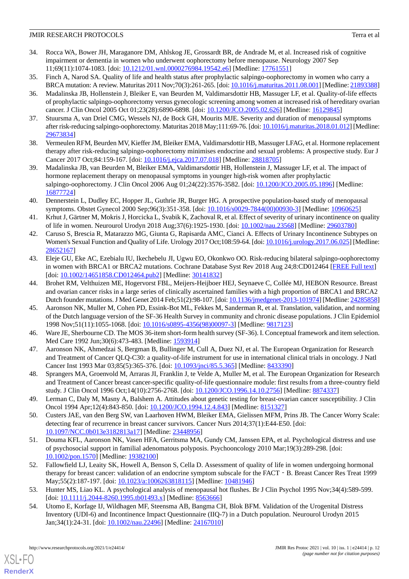- <span id="page-11-0"></span>34. Rocca WA, Bower JH, Maraganore DM, Ahlskog JE, Grossardt BR, de Andrade M, et al. Increased risk of cognitive impairment or dementia in women who underwent oophorectomy before menopause. Neurology 2007 Sep 11;69(11):1074-1083. [doi: [10.1212/01.wnl.0000276984.19542.e6](http://dx.doi.org/10.1212/01.wnl.0000276984.19542.e6)] [Medline: [17761551\]](http://www.ncbi.nlm.nih.gov/entrez/query.fcgi?cmd=Retrieve&db=PubMed&list_uids=17761551&dopt=Abstract)
- <span id="page-11-2"></span><span id="page-11-1"></span>35. Finch A, Narod SA. Quality of life and health status after prophylactic salpingo-oophorectomy in women who carry a BRCA mutation: A review. Maturitas 2011 Nov;70(3):261-265. [doi: [10.1016/j.maturitas.2011.08.001](http://dx.doi.org/10.1016/j.maturitas.2011.08.001)] [Medline: [21893388](http://www.ncbi.nlm.nih.gov/entrez/query.fcgi?cmd=Retrieve&db=PubMed&list_uids=21893388&dopt=Abstract)]
- 36. Madalinska JB, Hollenstein J, Bleiker E, van Beurden M, Valdimarsdottir HB, Massuger LF, et al. Quality-of-life effects of prophylactic salpingo-oophorectomy versus gynecologic screening among women at increased risk of hereditary ovarian cancer. J Clin Oncol 2005 Oct 01;23(28):6890-6898. [doi: [10.1200/JCO.2005.02.626](http://dx.doi.org/10.1200/JCO.2005.02.626)] [Medline: [16129845\]](http://www.ncbi.nlm.nih.gov/entrez/query.fcgi?cmd=Retrieve&db=PubMed&list_uids=16129845&dopt=Abstract)
- <span id="page-11-4"></span><span id="page-11-3"></span>37. Stuursma A, van Driel CMG, Wessels NJ, de Bock GH, Mourits MJE. Severity and duration of menopausal symptoms after risk-reducing salpingo-oophorectomy. Maturitas 2018 May;111:69-76. [doi: [10.1016/j.maturitas.2018.01.012](http://dx.doi.org/10.1016/j.maturitas.2018.01.012)] [Medline: [29673834](http://www.ncbi.nlm.nih.gov/entrez/query.fcgi?cmd=Retrieve&db=PubMed&list_uids=29673834&dopt=Abstract)]
- <span id="page-11-5"></span>38. Vermeulen RFM, Beurden MV, Kieffer JM, Bleiker EMA, Valdimarsdottir HB, Massuger LFAG, et al. Hormone replacement therapy after risk-reducing salpingo-oophorectomy minimises endocrine and sexual problems: A prospective study. Eur J Cancer 2017 Oct;84:159-167. [doi: [10.1016/j.ejca.2017.07.018\]](http://dx.doi.org/10.1016/j.ejca.2017.07.018) [Medline: [28818705](http://www.ncbi.nlm.nih.gov/entrez/query.fcgi?cmd=Retrieve&db=PubMed&list_uids=28818705&dopt=Abstract)]
- <span id="page-11-6"></span>39. Madalinska JB, van Beurden M, Bleiker EMA, Valdimarsdottir HB, Hollenstein J, Massuger LF, et al. The impact of hormone replacement therapy on menopausal symptoms in younger high-risk women after prophylactic salpingo-oophorectomy. J Clin Oncol 2006 Aug 01;24(22):3576-3582. [doi: [10.1200/JCO.2005.05.1896\]](http://dx.doi.org/10.1200/JCO.2005.05.1896) [Medline: [16877724](http://www.ncbi.nlm.nih.gov/entrez/query.fcgi?cmd=Retrieve&db=PubMed&list_uids=16877724&dopt=Abstract)]
- <span id="page-11-7"></span>40. Dennerstein L, Dudley EC, Hopper JL, Guthrie JR, Burger HG. A prospective population-based study of menopausal symptoms. Obstet Gynecol 2000 Sep;96(3):351-358. [doi: [10.1016/s0029-7844\(00\)00930-3\]](http://dx.doi.org/10.1016/s0029-7844(00)00930-3) [Medline: [10960625](http://www.ncbi.nlm.nih.gov/entrez/query.fcgi?cmd=Retrieve&db=PubMed&list_uids=10960625&dopt=Abstract)]
- <span id="page-11-8"></span>41. Krhut J, Gärtner M, Mokris J, Horcicka L, Svabik K, Zachoval R, et al. Effect of severity of urinary incontinence on quality of life in women. Neurourol Urodyn 2018 Aug;37(6):1925-1930. [doi: [10.1002/nau.23568](http://dx.doi.org/10.1002/nau.23568)] [Medline: [29603780](http://www.ncbi.nlm.nih.gov/entrez/query.fcgi?cmd=Retrieve&db=PubMed&list_uids=29603780&dopt=Abstract)]
- <span id="page-11-9"></span>42. Caruso S, Brescia R, Matarazzo MG, Giunta G, Rapisarda AMC, Cianci A. Effects of Urinary Incontinence Subtypes on Women's Sexual Function and Quality of Life. Urology 2017 Oct;108:59-64. [doi: [10.1016/j.urology.2017.06.025\]](http://dx.doi.org/10.1016/j.urology.2017.06.025) [Medline: [28652167](http://www.ncbi.nlm.nih.gov/entrez/query.fcgi?cmd=Retrieve&db=PubMed&list_uids=28652167&dopt=Abstract)]
- <span id="page-11-10"></span>43. Eleje GU, Eke AC, Ezebialu IU, Ikechebelu JI, Ugwu EO, Okonkwo OO. Risk-reducing bilateral salpingo-oophorectomy in women with BRCA1 or BRCA2 mutations. Cochrane Database Syst Rev 2018 Aug 24;8:CD012464 [\[FREE Full text\]](http://europepmc.org/abstract/MED/30141832) [doi: [10.1002/14651858.CD012464.pub2](http://dx.doi.org/10.1002/14651858.CD012464.pub2)] [Medline: [30141832\]](http://www.ncbi.nlm.nih.gov/entrez/query.fcgi?cmd=Retrieve&db=PubMed&list_uids=30141832&dopt=Abstract)
- <span id="page-11-11"></span>44. Brohet RM, Velthuizen ME, Hogervorst FBL, Meijers-Heijboer HEJ, Seynaeve C, Collée MJ, HEBON Resource. Breast and ovarian cancer risks in a large series of clinically ascertained families with a high proportion of BRCA1 and BRCA2 Dutch founder mutations. J Med Genet 2014 Feb;51(2):98-107. [doi: [10.1136/jmedgenet-2013-101974\]](http://dx.doi.org/10.1136/jmedgenet-2013-101974) [Medline: [24285858\]](http://www.ncbi.nlm.nih.gov/entrez/query.fcgi?cmd=Retrieve&db=PubMed&list_uids=24285858&dopt=Abstract)
- <span id="page-11-13"></span><span id="page-11-12"></span>45. Aaronson NK, Muller M, Cohen PD, Essink-Bot ML, Fekkes M, Sanderman R, et al. Translation, validation, and norming of the Dutch language version of the SF-36 Health Survey in community and chronic disease populations. J Clin Epidemiol 1998 Nov;51(11):1055-1068. [doi: [10.1016/s0895-4356\(98\)00097-3](http://dx.doi.org/10.1016/s0895-4356(98)00097-3)] [Medline: [9817123](http://www.ncbi.nlm.nih.gov/entrez/query.fcgi?cmd=Retrieve&db=PubMed&list_uids=9817123&dopt=Abstract)]
- <span id="page-11-14"></span>46. Ware JE, Sherbourne CD. The MOS 36-item short-form health survey (SF-36). I. Conceptual framework and item selection. Med Care 1992 Jun;30(6):473-483. [Medline: [1593914\]](http://www.ncbi.nlm.nih.gov/entrez/query.fcgi?cmd=Retrieve&db=PubMed&list_uids=1593914&dopt=Abstract)
- <span id="page-11-15"></span>47. Aaronson NK, Ahmedzai S, Bergman B, Bullinger M, Cull A, Duez NJ, et al. The European Organization for Research and Treatment of Cancer QLQ-C30: a quality-of-life instrument for use in international clinical trials in oncology. J Natl Cancer Inst 1993 Mar 03;85(5):365-376. [doi: [10.1093/jnci/85.5.365\]](http://dx.doi.org/10.1093/jnci/85.5.365) [Medline: [8433390](http://www.ncbi.nlm.nih.gov/entrez/query.fcgi?cmd=Retrieve&db=PubMed&list_uids=8433390&dopt=Abstract)]
- <span id="page-11-20"></span>48. Sprangers MA, Groenvold M, Arraras JI, Franklin J, te Velde A, Muller M, et al. The European Organization for Research and Treatment of Cancer breast cancer-specific quality-of-life questionnaire module: first results from a three-country field study. J Clin Oncol 1996 Oct;14(10):2756-2768. [doi: [10.1200/JCO.1996.14.10.2756\]](http://dx.doi.org/10.1200/JCO.1996.14.10.2756) [Medline: [8874337](http://www.ncbi.nlm.nih.gov/entrez/query.fcgi?cmd=Retrieve&db=PubMed&list_uids=8874337&dopt=Abstract)]
- <span id="page-11-16"></span>49. Lerman C, Daly M, Masny A, Balshem A. Attitudes about genetic testing for breast-ovarian cancer susceptibility. J Clin Oncol 1994 Apr;12(4):843-850. [doi: [10.1200/JCO.1994.12.4.843\]](http://dx.doi.org/10.1200/JCO.1994.12.4.843) [Medline: [8151327](http://www.ncbi.nlm.nih.gov/entrez/query.fcgi?cmd=Retrieve&db=PubMed&list_uids=8151327&dopt=Abstract)]
- <span id="page-11-17"></span>50. Custers JAE, van den Berg SW, van Laarhoven HWM, Bleiker EMA, Gielissen MFM, Prins JB. The Cancer Worry Scale: detecting fear of recurrence in breast cancer survivors. Cancer Nurs 2014;37(1):E44-E50. [doi: [10.1097/NCC.0b013e3182813a17\]](http://dx.doi.org/10.1097/NCC.0b013e3182813a17) [Medline: [23448956\]](http://www.ncbi.nlm.nih.gov/entrez/query.fcgi?cmd=Retrieve&db=PubMed&list_uids=23448956&dopt=Abstract)
- <span id="page-11-18"></span>51. Douma KFL, Aaronson NK, Vasen HFA, Gerritsma MA, Gundy CM, Janssen EPA, et al. Psychological distress and use of psychosocial support in familial adenomatous polyposis. Psychooncology 2010 Mar;19(3):289-298. [doi: [10.1002/pon.1570](http://dx.doi.org/10.1002/pon.1570)] [Medline: [19382100](http://www.ncbi.nlm.nih.gov/entrez/query.fcgi?cmd=Retrieve&db=PubMed&list_uids=19382100&dopt=Abstract)]
- <span id="page-11-19"></span>52. Fallowfield LJ, Leaity SK, Howell A, Benson S, Cella D. Assessment of quality of life in women undergoing hormonal therapy for breast cancer: validation of an endocrine symptom subscale for the FACT - B. Breast Cancer Res Treat 1999 May;55(2):187-197. [doi: [10.1023/a:1006263818115](http://dx.doi.org/10.1023/a:1006263818115)] [Medline: [10481946](http://www.ncbi.nlm.nih.gov/entrez/query.fcgi?cmd=Retrieve&db=PubMed&list_uids=10481946&dopt=Abstract)]
- 53. Hunter MS, Liao KL. A psychological analysis of menopausal hot flushes. Br J Clin Psychol 1995 Nov;34(4):589-599. [doi: [10.1111/j.2044-8260.1995.tb01493.x](http://dx.doi.org/10.1111/j.2044-8260.1995.tb01493.x)] [Medline: [8563666\]](http://www.ncbi.nlm.nih.gov/entrez/query.fcgi?cmd=Retrieve&db=PubMed&list_uids=8563666&dopt=Abstract)
- 54. Utomo E, Korfage IJ, Wildhagen MF, Steensma AB, Bangma CH, Blok BFM. Validation of the Urogenital Distress Inventory (UDI-6) and Incontinence Impact Questionnaire (IIQ-7) in a Dutch population. Neurourol Urodyn 2015 Jan;34(1):24-31. [doi: [10.1002/nau.22496](http://dx.doi.org/10.1002/nau.22496)] [Medline: [24167010\]](http://www.ncbi.nlm.nih.gov/entrez/query.fcgi?cmd=Retrieve&db=PubMed&list_uids=24167010&dopt=Abstract)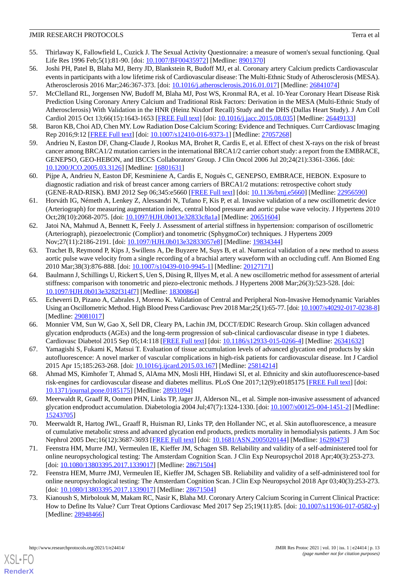- <span id="page-12-0"></span>55. Thirlaway K, Fallowfield L, Cuzick J. The Sexual Activity Questionnaire: a measure of women's sexual functioning. Qual Life Res 1996 Feb;5(1):81-90. [doi: [10.1007/BF00435972](http://dx.doi.org/10.1007/BF00435972)] [Medline: [8901370\]](http://www.ncbi.nlm.nih.gov/entrez/query.fcgi?cmd=Retrieve&db=PubMed&list_uids=8901370&dopt=Abstract)
- <span id="page-12-1"></span>56. Joshi PH, Patel B, Blaha MJ, Berry JD, Blankstein R, Budoff MJ, et al. Coronary artery Calcium predicts Cardiovascular events in participants with a low lifetime risk of Cardiovascular disease: The Multi-Ethnic Study of Atherosclerosis (MESA). Atherosclerosis 2016 Mar;246:367-373. [doi: [10.1016/j.atherosclerosis.2016.01.017](http://dx.doi.org/10.1016/j.atherosclerosis.2016.01.017)] [Medline: [26841074\]](http://www.ncbi.nlm.nih.gov/entrez/query.fcgi?cmd=Retrieve&db=PubMed&list_uids=26841074&dopt=Abstract)
- <span id="page-12-2"></span>57. McClelland RL, Jorgensen NW, Budoff M, Blaha MJ, Post WS, Kronmal RA, et al. 10-Year Coronary Heart Disease Risk Prediction Using Coronary Artery Calcium and Traditional Risk Factors: Derivation in the MESA (Multi-Ethnic Study of Atherosclerosis) With Validation in the HNR (Heinz Nixdorf Recall) Study and the DHS (Dallas Heart Study). J Am Coll Cardiol 2015 Oct 13;66(15):1643-1653 [[FREE Full text](https://linkinghub.elsevier.com/retrieve/pii/S0735-1097(15)04976-1)] [doi: [10.1016/j.jacc.2015.08.035\]](http://dx.doi.org/10.1016/j.jacc.2015.08.035) [Medline: [26449133](http://www.ncbi.nlm.nih.gov/entrez/query.fcgi?cmd=Retrieve&db=PubMed&list_uids=26449133&dopt=Abstract)]
- <span id="page-12-4"></span><span id="page-12-3"></span>58. Baron KB, Choi AD, Chen MY. Low Radiation Dose Calcium Scoring: Evidence and Techniques. Curr Cardiovasc Imaging Rep 2016;9:12 [[FREE Full text\]](http://europepmc.org/abstract/MED/27057268) [doi: [10.1007/s12410-016-9373-1](http://dx.doi.org/10.1007/s12410-016-9373-1)] [Medline: [27057268](http://www.ncbi.nlm.nih.gov/entrez/query.fcgi?cmd=Retrieve&db=PubMed&list_uids=27057268&dopt=Abstract)]
- <span id="page-12-5"></span>59. Andrieu N, Easton DF, Chang-Claude J, Rookus MA, Brohet R, Cardis E, et al. Effect of chest X-rays on the risk of breast cancer among BRCA1/2 mutation carriers in the international BRCA1/2 carrier cohort study: a report from the EMBRACE, GENEPSO, GEO-HEBON, and IBCCS Collaborators' Group. J Clin Oncol 2006 Jul 20;24(21):3361-3366. [doi: [10.1200/JCO.2005.03.3126](http://dx.doi.org/10.1200/JCO.2005.03.3126)] [Medline: [16801631\]](http://www.ncbi.nlm.nih.gov/entrez/query.fcgi?cmd=Retrieve&db=PubMed&list_uids=16801631&dopt=Abstract)
- <span id="page-12-6"></span>60. Pijpe A, Andrieu N, Easton DF, Kesminiene A, Cardis E, Noguès C, GENEPSO, EMBRACE, HEBON. Exposure to diagnostic radiation and risk of breast cancer among carriers of BRCA1/2 mutations: retrospective cohort study (GENE-RAD-RISK). BMJ 2012 Sep 06;345:e5660 [\[FREE Full text\]](http://europepmc.org/abstract/MED/22956590) [doi: [10.1136/bmj.e5660\]](http://dx.doi.org/10.1136/bmj.e5660) [Medline: [22956590](http://www.ncbi.nlm.nih.gov/entrez/query.fcgi?cmd=Retrieve&db=PubMed&list_uids=22956590&dopt=Abstract)]
- 61. Horváth IG, Németh A, Lenkey Z, Alessandri N, Tufano F, Kis P, et al. Invasive validation of a new oscillometric device (Arteriograph) for measuring augmentation index, central blood pressure and aortic pulse wave velocity. J Hypertens 2010 Oct;28(10):2068-2075. [doi: [10.1097/HJH.0b013e32833c8a1a\]](http://dx.doi.org/10.1097/HJH.0b013e32833c8a1a) [Medline: [20651604](http://www.ncbi.nlm.nih.gov/entrez/query.fcgi?cmd=Retrieve&db=PubMed&list_uids=20651604&dopt=Abstract)]
- <span id="page-12-14"></span>62. Jatoi NA, Mahmud A, Bennett K, Feely J. Assessment of arterial stiffness in hypertension: comparison of oscillometric (Arteriograph), piezoelectronic (Complior) and tonometric (SphygmoCor) techniques. J Hypertens 2009 Nov;27(11):2186-2191. [doi: [10.1097/HJH.0b013e32833057e8](http://dx.doi.org/10.1097/HJH.0b013e32833057e8)] [Medline: [19834344](http://www.ncbi.nlm.nih.gov/entrez/query.fcgi?cmd=Retrieve&db=PubMed&list_uids=19834344&dopt=Abstract)]
- 63. Trachet B, Reymond P, Kips J, Swillens A, De Buyzere M, Suys B, et al. Numerical validation of a new method to assess aortic pulse wave velocity from a single recording of a brachial artery waveform with an occluding cuff. Ann Biomed Eng 2010 Mar;38(3):876-888. [doi: [10.1007/s10439-010-9945-1\]](http://dx.doi.org/10.1007/s10439-010-9945-1) [Medline: [20127171](http://www.ncbi.nlm.nih.gov/entrez/query.fcgi?cmd=Retrieve&db=PubMed&list_uids=20127171&dopt=Abstract)]
- <span id="page-12-7"></span>64. Baulmann J, Schillings U, Rickert S, Uen S, Düsing R, Illyes M, et al. A new oscillometric method for assessment of arterial stiffness: comparison with tonometric and piezo-electronic methods. J Hypertens 2008 Mar;26(3):523-528. [doi: [10.1097/HJH.0b013e3282f314f7\]](http://dx.doi.org/10.1097/HJH.0b013e3282f314f7) [Medline: [18300864](http://www.ncbi.nlm.nih.gov/entrez/query.fcgi?cmd=Retrieve&db=PubMed&list_uids=18300864&dopt=Abstract)]
- <span id="page-12-8"></span>65. Echeverri D, Pizano A, Cabrales J, Moreno K. Validation of Central and Peripheral Non-Invasive Hemodynamic Variables Using an Oscillometric Method. High Blood Press Cardiovasc Prev 2018 Mar;25(1):65-77. [doi: [10.1007/s40292-017-0238-8](http://dx.doi.org/10.1007/s40292-017-0238-8)] [Medline: [29081017](http://www.ncbi.nlm.nih.gov/entrez/query.fcgi?cmd=Retrieve&db=PubMed&list_uids=29081017&dopt=Abstract)]
- <span id="page-12-10"></span><span id="page-12-9"></span>66. Monnier VM, Sun W, Gao X, Sell DR, Cleary PA, Lachin JM, DCCT/EDIC Research Group. Skin collagen advanced glycation endproducts (AGEs) and the long-term progression of sub-clinical cardiovascular disease in type 1 diabetes. Cardiovasc Diabetol 2015 Sep 05;14:118 [[FREE Full text](https://cardiab.biomedcentral.com/articles/10.1186/s12933-015-0266-4)] [doi: [10.1186/s12933-015-0266-4\]](http://dx.doi.org/10.1186/s12933-015-0266-4) [Medline: [26341632](http://www.ncbi.nlm.nih.gov/entrez/query.fcgi?cmd=Retrieve&db=PubMed&list_uids=26341632&dopt=Abstract)]
- <span id="page-12-15"></span>67. Yamagishi S, Fukami K, Matsui T. Evaluation of tissue accumulation levels of advanced glycation end products by skin autofluorescence: A novel marker of vascular complications in high-risk patients for cardiovascular disease. Int J Cardiol 2015 Apr 15;185:263-268. [doi: [10.1016/j.ijcard.2015.03.167](http://dx.doi.org/10.1016/j.ijcard.2015.03.167)] [Medline: [25814214\]](http://www.ncbi.nlm.nih.gov/entrez/query.fcgi?cmd=Retrieve&db=PubMed&list_uids=25814214&dopt=Abstract)
- <span id="page-12-11"></span>68. Ahmad MS, Kimhofer T, Ahmad S, AlAma MN, Mosli HH, Hindawi SI, et al. Ethnicity and skin autofluorescence-based risk-engines for cardiovascular disease and diabetes mellitus. PLoS One 2017;12(9):e0185175 [[FREE Full text](https://dx.plos.org/10.1371/journal.pone.0185175)] [doi: [10.1371/journal.pone.0185175\]](http://dx.doi.org/10.1371/journal.pone.0185175) [Medline: [28931094](http://www.ncbi.nlm.nih.gov/entrez/query.fcgi?cmd=Retrieve&db=PubMed&list_uids=28931094&dopt=Abstract)]
- <span id="page-12-12"></span>69. Meerwaldt R, Graaff R, Oomen PHN, Links TP, Jager JJ, Alderson NL, et al. Simple non-invasive assessment of advanced glycation endproduct accumulation. Diabetologia 2004 Jul;47(7):1324-1330. [doi: [10.1007/s00125-004-1451-2](http://dx.doi.org/10.1007/s00125-004-1451-2)] [Medline: [15243705](http://www.ncbi.nlm.nih.gov/entrez/query.fcgi?cmd=Retrieve&db=PubMed&list_uids=15243705&dopt=Abstract)]
- <span id="page-12-13"></span>70. Meerwaldt R, Hartog JWL, Graaff R, Huisman RJ, Links TP, den Hollander NC, et al. Skin autofluorescence, a measure of cumulative metabolic stress and advanced glycation end products, predicts mortality in hemodialysis patients. J Am Soc Nephrol 2005 Dec;16(12):3687-3693 [[FREE Full text](https://jasn.asnjournals.org/cgi/pmidlookup?view=long&pmid=16280473)] [doi: [10.1681/ASN.2005020144](http://dx.doi.org/10.1681/ASN.2005020144)] [Medline: [16280473\]](http://www.ncbi.nlm.nih.gov/entrez/query.fcgi?cmd=Retrieve&db=PubMed&list_uids=16280473&dopt=Abstract)
- <span id="page-12-16"></span>71. Feenstra HM, Murre JMJ, Vermeulen IE, Kieffer JM, Schagen SB. Reliability and validity of a self-administered tool for online neuropsychological testing: The Amsterdam Cognition Scan. J Clin Exp Neuropsychol 2018 Apr;40(3):253-273. [doi: [10.1080/13803395.2017.1339017](http://dx.doi.org/10.1080/13803395.2017.1339017)] [Medline: [28671504\]](http://www.ncbi.nlm.nih.gov/entrez/query.fcgi?cmd=Retrieve&db=PubMed&list_uids=28671504&dopt=Abstract)
- 72. Feenstra HEM, Murre JMJ, Vermeulen IE, Kieffer JM, Schagen SB. Reliability and validity of a self-administered tool for online neuropsychological testing: The Amsterdam Cognition Scan. J Clin Exp Neuropsychol 2018 Apr 03;40(3):253-273. [doi: [10.1080/13803395.2017.1339017](http://dx.doi.org/10.1080/13803395.2017.1339017)] [Medline: [28671504\]](http://www.ncbi.nlm.nih.gov/entrez/query.fcgi?cmd=Retrieve&db=PubMed&list_uids=28671504&dopt=Abstract)
- 73. Kianoush S, Mirbolouk M, Makam RC, Nasir K, Blaha MJ. Coronary Artery Calcium Scoring in Current Clinical Practice: How to Define Its Value? Curr Treat Options Cardiovasc Med 2017 Sep 25;19(11):85. [doi: [10.1007/s11936-017-0582-y](http://dx.doi.org/10.1007/s11936-017-0582-y)] [Medline: [28948466](http://www.ncbi.nlm.nih.gov/entrez/query.fcgi?cmd=Retrieve&db=PubMed&list_uids=28948466&dopt=Abstract)]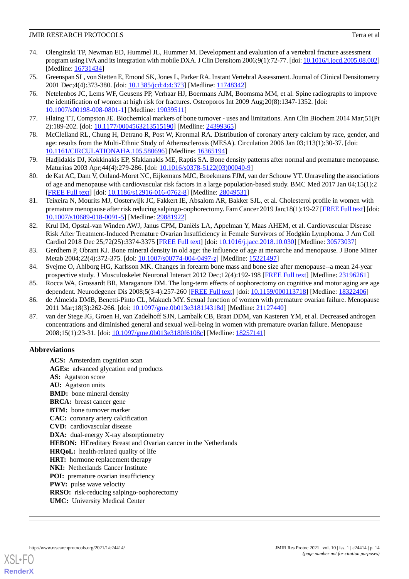- <span id="page-13-1"></span>74. Olenginski TP, Newman ED, Hummel JL, Hummer M. Development and evaluation of a vertebral fracture assessment program using IVA and its integration with mobile DXA. J Clin Densitom 2006;9(1):72-77. [doi: [10.1016/j.jocd.2005.08.002\]](http://dx.doi.org/10.1016/j.jocd.2005.08.002) [Medline: [16731434](http://www.ncbi.nlm.nih.gov/entrez/query.fcgi?cmd=Retrieve&db=PubMed&list_uids=16731434&dopt=Abstract)]
- <span id="page-13-2"></span>75. Greenspan SL, von Stetten E, Emond SK, Jones L, Parker RA. Instant Vertebral Assessment. Journal of Clinical Densitometry 2001 Dec;4(4):373-380. [doi: [10.1385/jcd:4:4:373\]](http://dx.doi.org/10.1385/jcd:4:4:373) [Medline: [11748342\]](http://www.ncbi.nlm.nih.gov/entrez/query.fcgi?cmd=Retrieve&db=PubMed&list_uids=11748342&dopt=Abstract)
- 76. Netelenbos JC, Lems WF, Geusens PP, Verhaar HJ, Boermans AJM, Boomsma MM, et al. Spine radiographs to improve the identification of women at high risk for fractures. Osteoporos Int 2009 Aug;20(8):1347-1352. [doi: [10.1007/s00198-008-0801-1\]](http://dx.doi.org/10.1007/s00198-008-0801-1) [Medline: [19039511](http://www.ncbi.nlm.nih.gov/entrez/query.fcgi?cmd=Retrieve&db=PubMed&list_uids=19039511&dopt=Abstract)]
- <span id="page-13-3"></span><span id="page-13-0"></span>77. Hlaing TT, Compston JE. Biochemical markers of bone turnover - uses and limitations. Ann Clin Biochem 2014 Mar;51(Pt 2):189-202. [doi: [10.1177/0004563213515190\]](http://dx.doi.org/10.1177/0004563213515190) [Medline: [24399365](http://www.ncbi.nlm.nih.gov/entrez/query.fcgi?cmd=Retrieve&db=PubMed&list_uids=24399365&dopt=Abstract)]
- <span id="page-13-4"></span>78. McClelland RL, Chung H, Detrano R, Post W, Kronmal RA. Distribution of coronary artery calcium by race, gender, and age: results from the Multi-Ethnic Study of Atherosclerosis (MESA). Circulation 2006 Jan 03;113(1):30-37. [doi: [10.1161/CIRCULATIONAHA.105.580696\]](http://dx.doi.org/10.1161/CIRCULATIONAHA.105.580696) [Medline: [16365194\]](http://www.ncbi.nlm.nih.gov/entrez/query.fcgi?cmd=Retrieve&db=PubMed&list_uids=16365194&dopt=Abstract)
- <span id="page-13-5"></span>79. Hadjidakis DJ, Kokkinakis EP, Sfakianakis ME, Raptis SA. Bone density patterns after normal and premature menopause. Maturitas 2003 Apr;44(4):279-286. [doi: [10.1016/s0378-5122\(03\)00040-9\]](http://dx.doi.org/10.1016/s0378-5122(03)00040-9)
- <span id="page-13-6"></span>80. de Kat AC, Dam V, Onland-Moret NC, Eijkemans MJC, Broekmans FJM, van der Schouw YT. Unraveling the associations of age and menopause with cardiovascular risk factors in a large population-based study. BMC Med 2017 Jan 04;15(1):2 [[FREE Full text](https://bmcmedicine.biomedcentral.com/articles/10.1186/s12916-016-0762-8)] [doi: [10.1186/s12916-016-0762-8\]](http://dx.doi.org/10.1186/s12916-016-0762-8) [Medline: [28049531](http://www.ncbi.nlm.nih.gov/entrez/query.fcgi?cmd=Retrieve&db=PubMed&list_uids=28049531&dopt=Abstract)]
- <span id="page-13-7"></span>81. Teixeira N, Mourits MJ, Oosterwijk JC, Fakkert IE, Absalom AR, Bakker SJL, et al. Cholesterol profile in women with premature menopause after risk reducing salpingo-oophorectomy. Fam Cancer 2019 Jan;18(1):19-27 [\[FREE Full text\]](http://europepmc.org/abstract/MED/29881922) [doi: [10.1007/s10689-018-0091-5\]](http://dx.doi.org/10.1007/s10689-018-0091-5) [Medline: [29881922](http://www.ncbi.nlm.nih.gov/entrez/query.fcgi?cmd=Retrieve&db=PubMed&list_uids=29881922&dopt=Abstract)]
- <span id="page-13-8"></span>82. Krul IM, Opstal-van Winden AWJ, Janus CPM, Daniëls LA, Appelman Y, Maas AHEM, et al. Cardiovascular Disease Risk After Treatment-Induced Premature Ovarian Insufficiency in Female Survivors of Hodgkin Lymphoma. J Am Coll Cardiol 2018 Dec 25;72(25):3374-3375 [[FREE Full text\]](https://linkinghub.elsevier.com/retrieve/pii/S0735-1097(18)38904-6) [doi: [10.1016/j.jacc.2018.10.030](http://dx.doi.org/10.1016/j.jacc.2018.10.030)] [Medline: [30573037](http://www.ncbi.nlm.nih.gov/entrez/query.fcgi?cmd=Retrieve&db=PubMed&list_uids=30573037&dopt=Abstract)]
- <span id="page-13-10"></span><span id="page-13-9"></span>83. Gerdhem P, Obrant KJ. Bone mineral density in old age: the influence of age at menarche and menopause. J Bone Miner Metab 2004;22(4):372-375. [doi: [10.1007/s00774-004-0497-z](http://dx.doi.org/10.1007/s00774-004-0497-z)] [Medline: [15221497\]](http://www.ncbi.nlm.nih.gov/entrez/query.fcgi?cmd=Retrieve&db=PubMed&list_uids=15221497&dopt=Abstract)
- <span id="page-13-11"></span>84. Svejme O, Ahlborg HG, Karlsson MK. Changes in forearm bone mass and bone size after menopause--a mean 24-year prospective study. J Musculoskelet Neuronal Interact 2012 Dec;12(4):192-198 [[FREE Full text](http://www.ismni.org/jmni/pdf/50/01SVEJME.pdf)] [Medline: [23196261\]](http://www.ncbi.nlm.nih.gov/entrez/query.fcgi?cmd=Retrieve&db=PubMed&list_uids=23196261&dopt=Abstract)
- <span id="page-13-12"></span>85. Rocca WA, Grossardt BR, Maraganore DM. The long-term effects of oophorectomy on cognitive and motor aging are age dependent. Neurodegener Dis 2008;5(3-4):257-260 [[FREE Full text](https://www.karger.com?DOI=10.1159/000113718)] [doi: [10.1159/000113718\]](http://dx.doi.org/10.1159/000113718) [Medline: [18322406](http://www.ncbi.nlm.nih.gov/entrez/query.fcgi?cmd=Retrieve&db=PubMed&list_uids=18322406&dopt=Abstract)]
- 86. de Almeida DMB, Benetti-Pinto CL, Makuch MY. Sexual function of women with premature ovarian failure. Menopause 2011 Mar;18(3):262-266. [doi: [10.1097/gme.0b013e3181f4318d](http://dx.doi.org/10.1097/gme.0b013e3181f4318d)] [Medline: [21127440](http://www.ncbi.nlm.nih.gov/entrez/query.fcgi?cmd=Retrieve&db=PubMed&list_uids=21127440&dopt=Abstract)]
- 87. van der Stege JG, Groen H, van Zadelhoff SJN, Lambalk CB, Braat DDM, van Kasteren YM, et al. Decreased androgen concentrations and diminished general and sexual well-being in women with premature ovarian failure. Menopause 2008;15(1):23-31. [doi: [10.1097/gme.0b013e3180f6108c\]](http://dx.doi.org/10.1097/gme.0b013e3180f6108c) [Medline: [18257141](http://www.ncbi.nlm.nih.gov/entrez/query.fcgi?cmd=Retrieve&db=PubMed&list_uids=18257141&dopt=Abstract)]

## **Abbreviations**

**ACS:** Amsterdam cognition scan **AGEs:** advanced glycation end products **AS:** Agatston score **AU:** Agatston units **BMD:** bone mineral density **BRCA:** breast cancer gene **BTM:** bone turnover marker **CAC:** coronary artery calcification **CVD:** cardiovascular disease **DXA:** dual-energy X-ray absorptiometry **HEBON:** HEreditary Breast and Ovarian cancer in the Netherlands **HRQoL:** health-related quality of life **HRT:** hormone replacement therapy **NKI:** Netherlands Cancer Institute **POI:** premature ovarian insufficiency **PWV:** pulse wave velocity **RRSO:** risk-reducing salpingo-oophorectomy **UMC:** University Medical Center